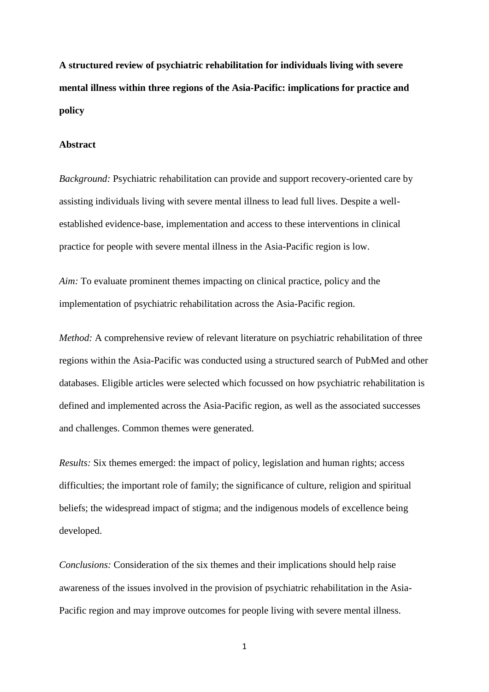**A structured review of psychiatric rehabilitation for individuals living with severe mental illness within three regions of the Asia-Pacific: implications for practice and policy**

#### **Abstract**

*Background:* Psychiatric rehabilitation can provide and support recovery-oriented care by assisting individuals living with severe mental illness to lead full lives. Despite a wellestablished evidence-base, implementation and access to these interventions in clinical practice for people with severe mental illness in the Asia-Pacific region is low.

*Aim:* To evaluate prominent themes impacting on clinical practice, policy and the implementation of psychiatric rehabilitation across the Asia-Pacific region.

*Method:* A comprehensive review of relevant literature on psychiatric rehabilitation of three regions within the Asia-Pacific was conducted using a structured search of PubMed and other databases. Eligible articles were selected which focussed on how psychiatric rehabilitation is defined and implemented across the Asia-Pacific region, as well as the associated successes and challenges. Common themes were generated.

*Results:* Six themes emerged: the impact of policy, legislation and human rights; access difficulties; the important role of family; the significance of culture, religion and spiritual beliefs; the widespread impact of stigma; and the indigenous models of excellence being developed.

*Conclusions:* Consideration of the six themes and their implications should help raise awareness of the issues involved in the provision of psychiatric rehabilitation in the Asia-Pacific region and may improve outcomes for people living with severe mental illness.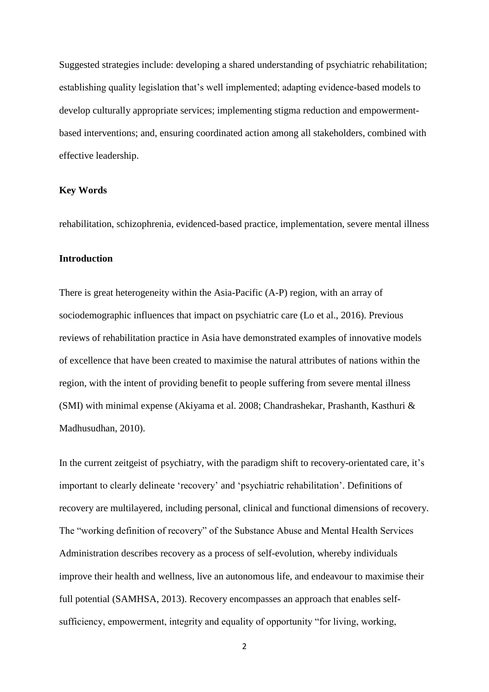Suggested strategies include: developing a shared understanding of psychiatric rehabilitation; establishing quality legislation that's well implemented; adapting evidence-based models to develop culturally appropriate services; implementing stigma reduction and empowermentbased interventions; and, ensuring coordinated action among all stakeholders, combined with effective leadership.

## **Key Words**

rehabilitation, schizophrenia, evidenced-based practice, implementation, severe mental illness

## **Introduction**

There is great heterogeneity within the Asia-Pacific (A-P) region, with an array of sociodemographic influences that impact on psychiatric care (Lo et al., 2016). Previous reviews of rehabilitation practice in Asia have demonstrated examples of innovative models of excellence that have been created to maximise the natural attributes of nations within the region, with the intent of providing benefit to people suffering from severe mental illness (SMI) with minimal expense (Akiyama et al. 2008; Chandrashekar, Prashanth, Kasthuri & Madhusudhan, 2010).

In the current zeitgeist of psychiatry, with the paradigm shift to recovery-orientated care, it's important to clearly delineate 'recovery' and 'psychiatric rehabilitation'. Definitions of recovery are multilayered, including personal, clinical and functional dimensions of recovery. The "working definition of recovery" of the Substance Abuse and Mental Health Services Administration describes recovery as a process of self-evolution, whereby individuals improve their health and wellness, live an autonomous life, and endeavour to maximise their full potential (SAMHSA, 2013). Recovery encompasses an approach that enables selfsufficiency, empowerment, integrity and equality of opportunity "for living, working,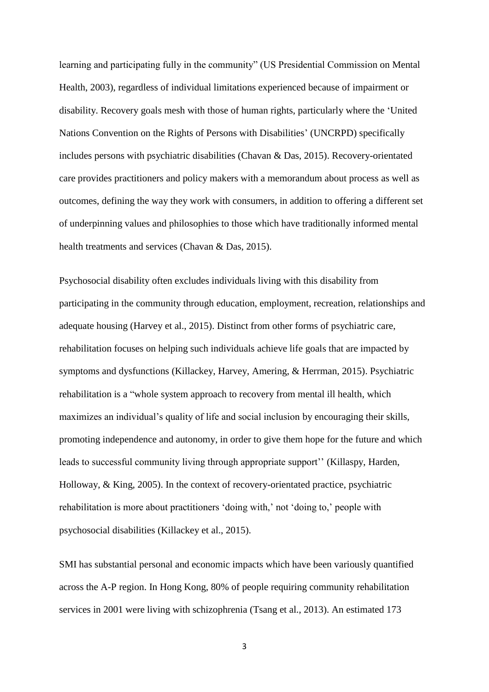learning and participating fully in the community" (US Presidential Commission on Mental Health, 2003), regardless of individual limitations experienced because of impairment or disability. Recovery goals mesh with those of human rights, particularly where the 'United Nations Convention on the Rights of Persons with Disabilities' (UNCRPD) specifically includes persons with psychiatric disabilities (Chavan & Das, 2015). Recovery-orientated care provides practitioners and policy makers with a memorandum about process as well as outcomes, defining the way they work with consumers, in addition to offering a different set of underpinning values and philosophies to those which have traditionally informed mental health treatments and services (Chavan & Das, 2015).

Psychosocial disability often excludes individuals living with this disability from participating in the community through education, employment, recreation, relationships and adequate housing (Harvey et al., 2015). Distinct from other forms of psychiatric care, rehabilitation focuses on helping such individuals achieve life goals that are impacted by symptoms and dysfunctions (Killackey, Harvey, Amering, & Herrman, 2015). Psychiatric rehabilitation is a "whole system approach to recovery from mental ill health, which maximizes an individual's quality of life and social inclusion by encouraging their skills, promoting independence and autonomy, in order to give them hope for the future and which leads to successful community living through appropriate support'' (Killaspy, Harden, Holloway, & King, 2005). In the context of recovery-orientated practice, psychiatric rehabilitation is more about practitioners 'doing with,' not 'doing to,' people with psychosocial disabilities (Killackey et al., 2015).

SMI has substantial personal and economic impacts which have been variously quantified across the A-P region. In Hong Kong, 80% of people requiring community rehabilitation services in 2001 were living with schizophrenia (Tsang et al., 2013). An estimated 173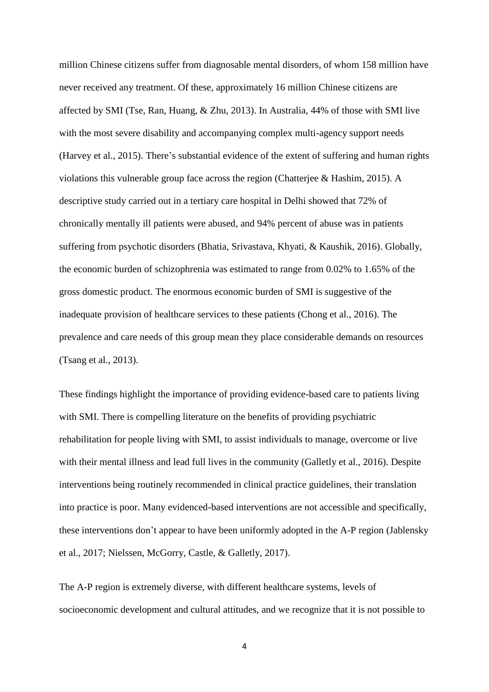million Chinese citizens suffer from diagnosable mental disorders, of whom 158 million have never received any treatment. Of these, approximately 16 million Chinese citizens are affected by SMI (Tse, Ran, Huang, & Zhu, 2013). In Australia, 44% of those with SMI live with the most severe disability and accompanying complex multi-agency support needs (Harvey et al., 2015). There's substantial evidence of the extent of suffering and human rights violations this vulnerable group face across the region (Chatterjee & Hashim, 2015). A descriptive study carried out in a tertiary care hospital in Delhi showed that 72% of chronically mentally ill patients were abused, and 94% percent of abuse was in patients suffering from psychotic disorders (Bhatia, Srivastava, Khyati, & Kaushik, 2016). Globally, the economic burden of schizophrenia was estimated to range from 0.02% to 1.65% of the gross domestic product. The enormous economic burden of SMI is suggestive of the inadequate provision of healthcare services to these patients (Chong et al., 2016). The prevalence and care needs of this group mean they place considerable demands on resources (Tsang et al., 2013).

These findings highlight the importance of providing evidence-based care to patients living with SMI. There is compelling literature on the benefits of providing psychiatric rehabilitation for people living with SMI, to assist individuals to manage, overcome or live with their mental illness and lead full lives in the community (Galletly et al., 2016). Despite interventions being routinely recommended in clinical practice guidelines, their translation into practice is poor. Many evidenced-based interventions are not accessible and specifically, these interventions don't appear to have been uniformly adopted in the A-P region (Jablensky et al., 2017; Nielssen, McGorry, Castle, & Galletly, 2017).

The A-P region is extremely diverse, with different healthcare systems, levels of socioeconomic development and cultural attitudes, and we recognize that it is not possible to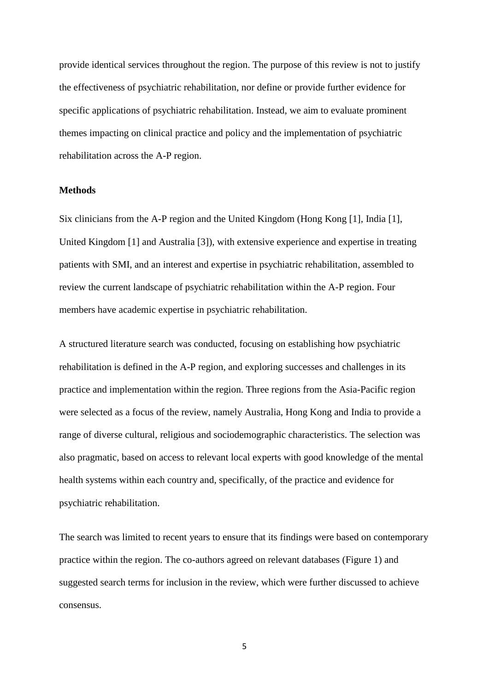provide identical services throughout the region. The purpose of this review is not to justify the effectiveness of psychiatric rehabilitation, nor define or provide further evidence for specific applications of psychiatric rehabilitation. Instead, we aim to evaluate prominent themes impacting on clinical practice and policy and the implementation of psychiatric rehabilitation across the A-P region.

## **Methods**

Six clinicians from the A-P region and the United Kingdom (Hong Kong [1], India [1], United Kingdom [1] and Australia [3]), with extensive experience and expertise in treating patients with SMI, and an interest and expertise in psychiatric rehabilitation, assembled to review the current landscape of psychiatric rehabilitation within the A-P region. Four members have academic expertise in psychiatric rehabilitation.

A structured literature search was conducted, focusing on establishing how psychiatric rehabilitation is defined in the A-P region, and exploring successes and challenges in its practice and implementation within the region. Three regions from the Asia-Pacific region were selected as a focus of the review, namely Australia, Hong Kong and India to provide a range of diverse cultural, religious and sociodemographic characteristics. The selection was also pragmatic, based on access to relevant local experts with good knowledge of the mental health systems within each country and, specifically, of the practice and evidence for psychiatric rehabilitation.

The search was limited to recent years to ensure that its findings were based on contemporary practice within the region. The co-authors agreed on relevant databases (Figure 1) and suggested search terms for inclusion in the review, which were further discussed to achieve consensus.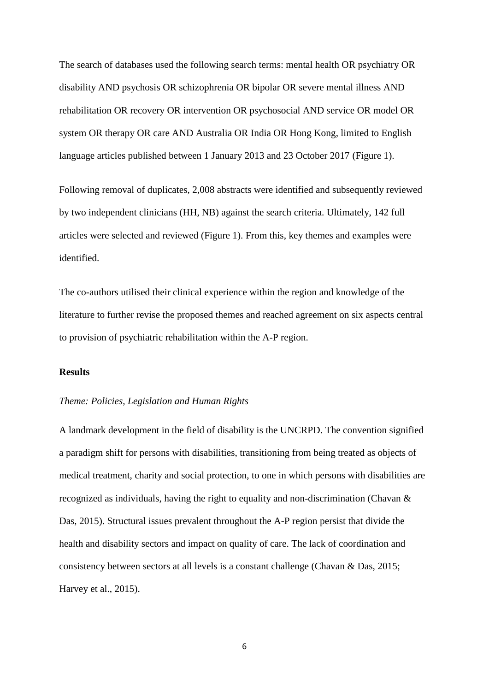The search of databases used the following search terms: mental health OR psychiatry OR disability AND psychosis OR schizophrenia OR bipolar OR severe mental illness AND rehabilitation OR recovery OR intervention OR psychosocial AND service OR model OR system OR therapy OR care AND Australia OR India OR Hong Kong, limited to English language articles published between 1 January 2013 and 23 October 2017 (Figure 1).

Following removal of duplicates, 2,008 abstracts were identified and subsequently reviewed by two independent clinicians (HH, NB) against the search criteria. Ultimately, 142 full articles were selected and reviewed (Figure 1). From this, key themes and examples were identified.

The co-authors utilised their clinical experience within the region and knowledge of the literature to further revise the proposed themes and reached agreement on six aspects central to provision of psychiatric rehabilitation within the A-P region.

### **Results**

# *Theme: Policies, Legislation and Human Rights*

A landmark development in the field of disability is the UNCRPD. The convention signified a paradigm shift for persons with disabilities, transitioning from being treated as objects of medical treatment, charity and social protection, to one in which persons with disabilities are recognized as individuals, having the right to equality and non-discrimination (Chavan & Das, 2015). Structural issues prevalent throughout the A-P region persist that divide the health and disability sectors and impact on quality of care. The lack of coordination and consistency between sectors at all levels is a constant challenge (Chavan & Das, 2015; Harvey et al., 2015).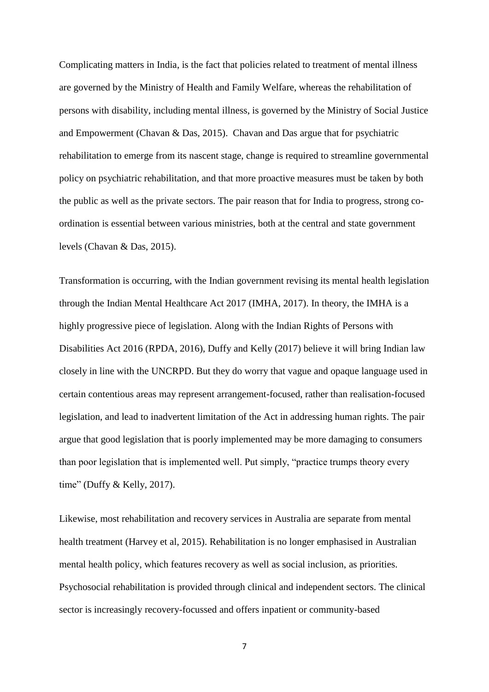Complicating matters in India, is the fact that policies related to treatment of mental illness are governed by the Ministry of Health and Family Welfare, whereas the rehabilitation of persons with disability, including mental illness, is governed by the Ministry of Social Justice and Empowerment (Chavan & Das, 2015). Chavan and Das argue that for psychiatric rehabilitation to emerge from its nascent stage, change is required to streamline governmental policy on psychiatric rehabilitation, and that more proactive measures must be taken by both the public as well as the private sectors. The pair reason that for India to progress, strong coordination is essential between various ministries, both at the central and state government levels (Chavan & Das, 2015).

Transformation is occurring, with the Indian government revising its mental health legislation through the Indian Mental Healthcare Act 2017 (IMHA, 2017). In theory, the IMHA is a highly progressive piece of legislation. Along with the Indian Rights of Persons with Disabilities Act 2016 (RPDA, 2016), Duffy and Kelly (2017) believe it will bring Indian law closely in line with the UNCRPD. But they do worry that vague and opaque language used in certain contentious areas may represent arrangement-focused, rather than realisation-focused legislation, and lead to inadvertent limitation of the Act in addressing human rights. The pair argue that good legislation that is poorly implemented may be more damaging to consumers than poor legislation that is implemented well. Put simply, "practice trumps theory every time" (Duffy & Kelly, 2017).

Likewise, most rehabilitation and recovery services in Australia are separate from mental health treatment (Harvey et al, 2015). Rehabilitation is no longer emphasised in Australian mental health policy, which features recovery as well as social inclusion, as priorities. Psychosocial rehabilitation is provided through clinical and independent sectors. The clinical sector is increasingly recovery-focussed and offers inpatient or community-based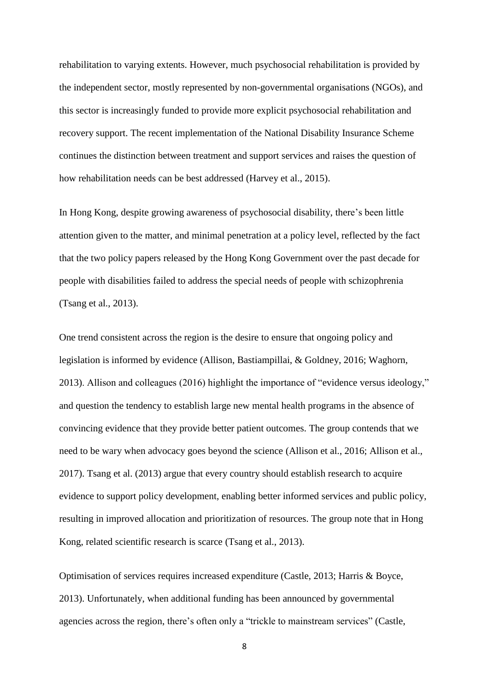rehabilitation to varying extents. However, much psychosocial rehabilitation is provided by the independent sector, mostly represented by non-governmental organisations (NGOs), and this sector is increasingly funded to provide more explicit psychosocial rehabilitation and recovery support. The recent implementation of the National Disability Insurance Scheme continues the distinction between treatment and support services and raises the question of how rehabilitation needs can be best addressed (Harvey et al., 2015).

In Hong Kong, despite growing awareness of psychosocial disability, there's been little attention given to the matter, and minimal penetration at a policy level, reflected by the fact that the two policy papers released by the Hong Kong Government over the past decade for people with disabilities failed to address the special needs of people with schizophrenia (Tsang et al., 2013).

One trend consistent across the region is the desire to ensure that ongoing policy and legislation is informed by evidence (Allison, Bastiampillai, & Goldney, 2016; Waghorn, 2013). Allison and colleagues (2016) highlight the importance of "evidence versus ideology," and question the tendency to establish large new mental health programs in the absence of convincing evidence that they provide better patient outcomes. The group contends that we need to be wary when advocacy goes beyond the science (Allison et al., 2016; Allison et al., 2017). Tsang et al. (2013) argue that every country should establish research to acquire evidence to support policy development, enabling better informed services and public policy, resulting in improved allocation and prioritization of resources. The group note that in Hong Kong, related scientific research is scarce (Tsang et al., 2013).

Optimisation of services requires increased expenditure (Castle, 2013; Harris & Boyce, 2013). Unfortunately, when additional funding has been announced by governmental agencies across the region, there's often only a "trickle to mainstream services" (Castle,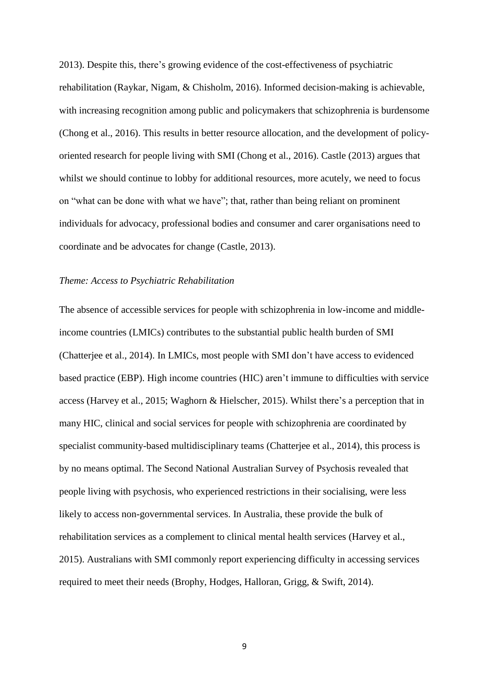2013). Despite this, there's growing evidence of the cost-effectiveness of psychiatric rehabilitation (Raykar, Nigam, & Chisholm, 2016). Informed decision-making is achievable, with increasing recognition among public and policymakers that schizophrenia is burdensome (Chong et al., 2016). This results in better resource allocation, and the development of policyoriented research for people living with SMI (Chong et al., 2016). Castle (2013) argues that whilst we should continue to lobby for additional resources, more acutely, we need to focus on "what can be done with what we have"; that, rather than being reliant on prominent individuals for advocacy, professional bodies and consumer and carer organisations need to coordinate and be advocates for change (Castle, 2013).

#### *Theme: Access to Psychiatric Rehabilitation*

The absence of accessible services for people with schizophrenia in low-income and middleincome countries (LMICs) contributes to the substantial public health burden of SMI (Chatterjee et al., 2014). In LMICs, most people with SMI don't have access to evidenced based practice (EBP). High income countries (HIC) aren't immune to difficulties with service access (Harvey et al., 2015; Waghorn & Hielscher, 2015). Whilst there's a perception that in many HIC, clinical and social services for people with schizophrenia are coordinated by specialist community-based multidisciplinary teams (Chatterjee et al., 2014), this process is by no means optimal. The Second National Australian Survey of Psychosis revealed that people living with psychosis, who experienced restrictions in their socialising, were less likely to access non-governmental services. In Australia, these provide the bulk of rehabilitation services as a complement to clinical mental health services (Harvey et al., 2015). Australians with SMI commonly report experiencing difficulty in accessing services required to meet their needs (Brophy, Hodges, Halloran, Grigg, & Swift, 2014).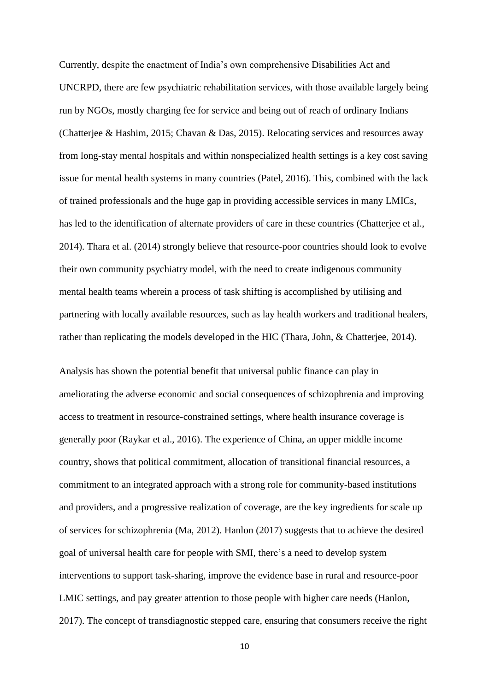Currently, despite the enactment of India's own comprehensive Disabilities Act and UNCRPD, there are few psychiatric rehabilitation services, with those available largely being run by NGOs, mostly charging fee for service and being out of reach of ordinary Indians (Chatterjee & Hashim, 2015; Chavan & Das, 2015). Relocating services and resources away from long-stay mental hospitals and within nonspecialized health settings is a key cost saving issue for mental health systems in many countries (Patel, 2016). This, combined with the lack of trained professionals and the huge gap in providing accessible services in many LMICs, has led to the identification of alternate providers of care in these countries (Chatterjee et al., 2014). Thara et al. (2014) strongly believe that resource-poor countries should look to evolve their own community psychiatry model, with the need to create indigenous community mental health teams wherein a process of task shifting is accomplished by utilising and partnering with locally available resources, such as lay health workers and traditional healers, rather than replicating the models developed in the HIC (Thara, John, & Chatterjee, 2014).

Analysis has shown the potential benefit that universal public finance can play in ameliorating the adverse economic and social consequences of schizophrenia and improving access to treatment in resource-constrained settings, where health insurance coverage is generally poor (Raykar et al., 2016). The experience of China, an upper middle income country, shows that political commitment, allocation of transitional financial resources, a commitment to an integrated approach with a strong role for community-based institutions and providers, and a progressive realization of coverage, are the key ingredients for scale up of services for schizophrenia (Ma, 2012). Hanlon (2017) suggests that to achieve the desired goal of universal health care for people with SMI, there's a need to develop system interventions to support task-sharing, improve the evidence base in rural and resource-poor LMIC settings, and pay greater attention to those people with higher care needs (Hanlon, 2017). The concept of transdiagnostic stepped care, ensuring that consumers receive the right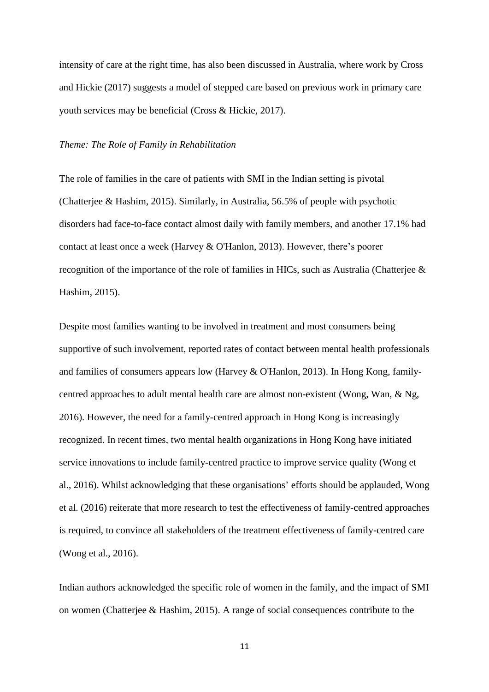intensity of care at the right time, has also been discussed in Australia, where work by Cross and Hickie (2017) suggests a model of stepped care based on previous work in primary care youth services may be beneficial (Cross & Hickie, 2017).

#### *Theme: The Role of Family in Rehabilitation*

The role of families in the care of patients with SMI in the Indian setting is pivotal (Chatterjee & Hashim, 2015). Similarly, in Australia, 56.5% of people with psychotic disorders had face-to-face contact almost daily with family members, and another 17.1% had contact at least once a week (Harvey & O'Hanlon, 2013). However, there's poorer recognition of the importance of the role of families in HICs, such as Australia (Chatterjee & Hashim, 2015).

Despite most families wanting to be involved in treatment and most consumers being supportive of such involvement, reported rates of contact between mental health professionals and families of consumers appears low (Harvey & O'Hanlon, 2013). In Hong Kong, familycentred approaches to adult mental health care are almost non-existent (Wong, Wan, & Ng, 2016). However, the need for a family-centred approach in Hong Kong is increasingly recognized. In recent times, two mental health organizations in Hong Kong have initiated service innovations to include family-centred practice to improve service quality (Wong et al., 2016). Whilst acknowledging that these organisations' efforts should be applauded, Wong et al. (2016) reiterate that more research to test the effectiveness of family-centred approaches is required, to convince all stakeholders of the treatment effectiveness of family-centred care (Wong et al., 2016).

Indian authors acknowledged the specific role of women in the family, and the impact of SMI on women (Chatterjee & Hashim, 2015). A range of social consequences contribute to the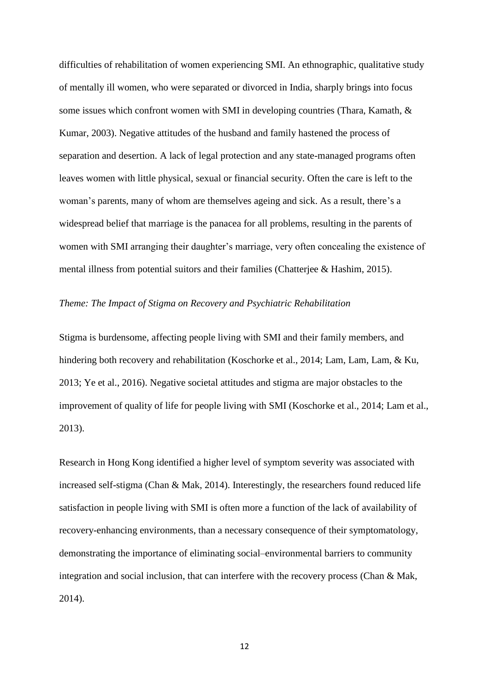difficulties of rehabilitation of women experiencing SMI. An ethnographic, qualitative study of mentally ill women, who were separated or divorced in India, sharply brings into focus some issues which confront women with SMI in developing countries (Thara, Kamath, & Kumar, 2003). Negative attitudes of the husband and family hastened the process of separation and desertion. A lack of legal protection and any state-managed programs often leaves women with little physical, sexual or financial security. Often the care is left to the woman's parents, many of whom are themselves ageing and sick. As a result, there's a widespread belief that marriage is the panacea for all problems, resulting in the parents of women with SMI arranging their daughter's marriage, very often concealing the existence of mental illness from potential suitors and their families (Chatterjee & Hashim, 2015).

# *Theme: The Impact of Stigma on Recovery and Psychiatric Rehabilitation*

Stigma is burdensome, affecting people living with SMI and their family members, and hindering both recovery and rehabilitation (Koschorke et al., 2014; Lam, Lam, Lam, & Ku, 2013; Ye et al., 2016). Negative societal attitudes and stigma are major obstacles to the improvement of quality of life for people living with SMI (Koschorke et al., 2014; Lam et al., 2013).

Research in Hong Kong identified a higher level of symptom severity was associated with increased self-stigma (Chan & Mak, 2014). Interestingly, the researchers found reduced life satisfaction in people living with SMI is often more a function of the lack of availability of recovery-enhancing environments, than a necessary consequence of their symptomatology, demonstrating the importance of eliminating social–environmental barriers to community integration and social inclusion, that can interfere with the recovery process (Chan & Mak, 2014).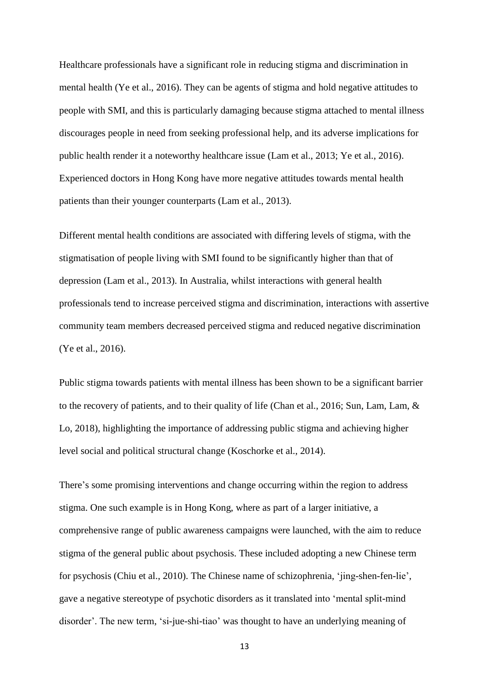Healthcare professionals have a significant role in reducing stigma and discrimination in mental health (Ye et al., 2016). They can be agents of stigma and hold negative attitudes to people with SMI, and this is particularly damaging because stigma attached to mental illness discourages people in need from seeking professional help, and its adverse implications for public health render it a noteworthy healthcare issue (Lam et al., 2013; Ye et al., 2016). Experienced doctors in Hong Kong have more negative attitudes towards mental health patients than their younger counterparts (Lam et al., 2013).

Different mental health conditions are associated with differing levels of stigma, with the stigmatisation of people living with SMI found to be significantly higher than that of depression (Lam et al., 2013). In Australia, whilst interactions with general health professionals tend to increase perceived stigma and discrimination, interactions with assertive community team members decreased perceived stigma and reduced negative discrimination (Ye et al., 2016).

Public stigma towards patients with mental illness has been shown to be a significant barrier to the recovery of patients, and to their quality of life (Chan et al., 2016; Sun, Lam, Lam, & Lo, 2018), highlighting the importance of addressing public stigma and achieving higher level social and political structural change (Koschorke et al., 2014).

There's some promising interventions and change occurring within the region to address stigma. One such example is in Hong Kong, where as part of a larger initiative, a comprehensive range of public awareness campaigns were launched, with the aim to reduce stigma of the general public about psychosis. These included adopting a new Chinese term for psychosis (Chiu et al., 2010). The Chinese name of schizophrenia, 'jing-shen-fen-lie', gave a negative stereotype of psychotic disorders as it translated into 'mental split-mind disorder'. The new term, 'si-jue-shi-tiao' was thought to have an underlying meaning of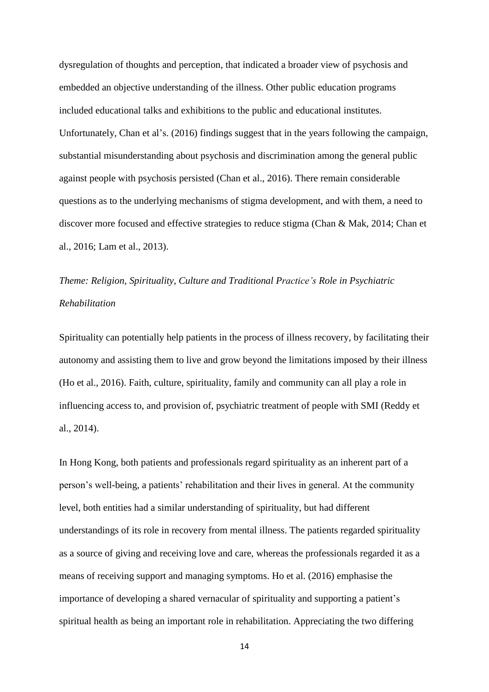dysregulation of thoughts and perception, that indicated a broader view of psychosis and embedded an objective understanding of the illness. Other public education programs included educational talks and exhibitions to the public and educational institutes. Unfortunately, Chan et al's. (2016) findings suggest that in the years following the campaign, substantial misunderstanding about psychosis and discrimination among the general public against people with psychosis persisted (Chan et al., 2016). There remain considerable questions as to the underlying mechanisms of stigma development, and with them, a need to discover more focused and effective strategies to reduce stigma (Chan & Mak, 2014; Chan et al., 2016; Lam et al., 2013).

# *Theme: Religion, Spirituality, Culture and Traditional Practice's Role in Psychiatric Rehabilitation*

Spirituality can potentially help patients in the process of illness recovery, by facilitating their autonomy and assisting them to live and grow beyond the limitations imposed by their illness (Ho et al., 2016). Faith, culture, spirituality, family and community can all play a role in influencing access to, and provision of, psychiatric treatment of people with SMI (Reddy et al., 2014).

In Hong Kong, both patients and professionals regard spirituality as an inherent part of a person's well-being, a patients' rehabilitation and their lives in general. At the community level, both entities had a similar understanding of spirituality, but had different understandings of its role in recovery from mental illness. The patients regarded spirituality as a source of giving and receiving love and care, whereas the professionals regarded it as a means of receiving support and managing symptoms. Ho et al. (2016) emphasise the importance of developing a shared vernacular of spirituality and supporting a patient's spiritual health as being an important role in rehabilitation. Appreciating the two differing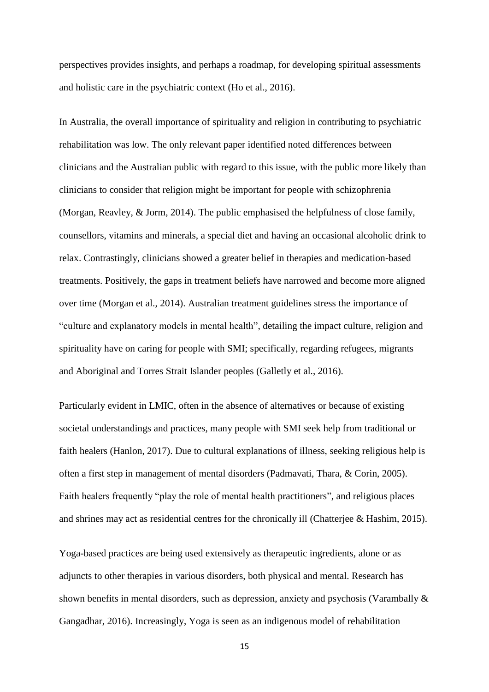perspectives provides insights, and perhaps a roadmap, for developing spiritual assessments and holistic care in the psychiatric context (Ho et al., 2016).

In Australia, the overall importance of spirituality and religion in contributing to psychiatric rehabilitation was low. The only relevant paper identified noted differences between clinicians and the Australian public with regard to this issue, with the public more likely than clinicians to consider that religion might be important for people with schizophrenia (Morgan, Reavley, & Jorm, 2014). The public emphasised the helpfulness of close family, counsellors, vitamins and minerals, a special diet and having an occasional alcoholic drink to relax. Contrastingly, clinicians showed a greater belief in therapies and medication-based treatments. Positively, the gaps in treatment beliefs have narrowed and become more aligned over time (Morgan et al., 2014). Australian treatment guidelines stress the importance of "culture and explanatory models in mental health", detailing the impact culture, religion and spirituality have on caring for people with SMI; specifically, regarding refugees, migrants and Aboriginal and Torres Strait Islander peoples (Galletly et al., 2016).

Particularly evident in LMIC, often in the absence of alternatives or because of existing societal understandings and practices, many people with SMI seek help from traditional or faith healers (Hanlon, 2017). Due to cultural explanations of illness, seeking religious help is often a first step in management of mental disorders (Padmavati, Thara, & Corin, 2005). Faith healers frequently "play the role of mental health practitioners", and religious places and shrines may act as residential centres for the chronically ill (Chatterjee & Hashim, 2015).

Yoga-based practices are being used extensively as therapeutic ingredients, alone or as adjuncts to other therapies in various disorders, both physical and mental. Research has shown benefits in mental disorders, such as depression, anxiety and psychosis (Varambally & Gangadhar, 2016). Increasingly, Yoga is seen as an indigenous model of rehabilitation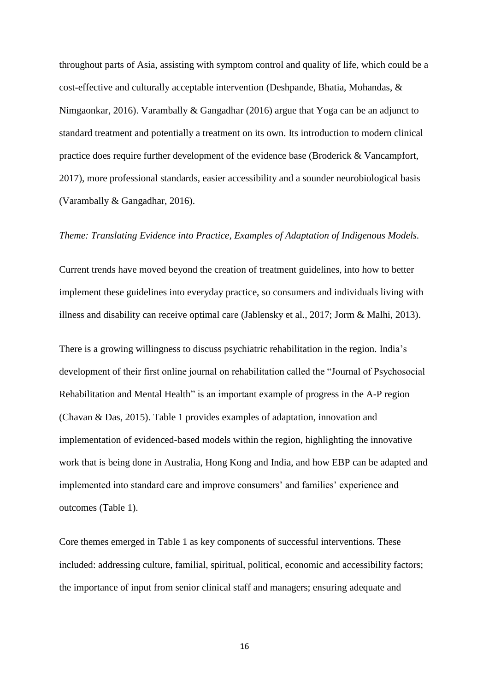throughout parts of Asia, assisting with symptom control and quality of life, which could be a cost-effective and culturally acceptable intervention (Deshpande, Bhatia, Mohandas, & Nimgaonkar, 2016). Varambally & Gangadhar (2016) argue that Yoga can be an adjunct to standard treatment and potentially a treatment on its own. Its introduction to modern clinical practice does require further development of the evidence base (Broderick & Vancampfort, 2017), more professional standards, easier accessibility and a sounder neurobiological basis (Varambally & Gangadhar, 2016).

## *Theme: Translating Evidence into Practice, Examples of Adaptation of Indigenous Models.*

Current trends have moved beyond the creation of treatment guidelines, into how to better implement these guidelines into everyday practice, so consumers and individuals living with illness and disability can receive optimal care (Jablensky et al., 2017; Jorm & Malhi, 2013).

There is a growing willingness to discuss psychiatric rehabilitation in the region. India's development of their first online journal on rehabilitation called the "Journal of Psychosocial Rehabilitation and Mental Health" is an important example of progress in the A-P region (Chavan & Das, 2015). Table 1 provides examples of adaptation, innovation and implementation of evidenced-based models within the region, highlighting the innovative work that is being done in Australia, Hong Kong and India, and how EBP can be adapted and implemented into standard care and improve consumers' and families' experience and outcomes (Table 1).

Core themes emerged in Table 1 as key components of successful interventions. These included: addressing culture, familial, spiritual, political, economic and accessibility factors; the importance of input from senior clinical staff and managers; ensuring adequate and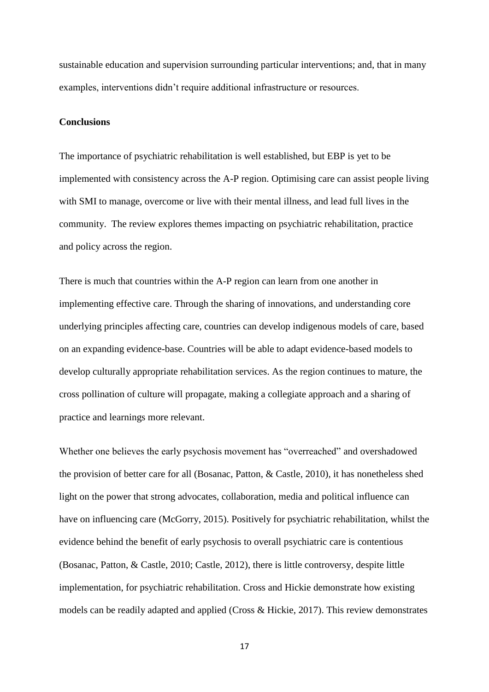sustainable education and supervision surrounding particular interventions; and, that in many examples, interventions didn't require additional infrastructure or resources.

# **Conclusions**

The importance of psychiatric rehabilitation is well established, but EBP is yet to be implemented with consistency across the A-P region. Optimising care can assist people living with SMI to manage, overcome or live with their mental illness, and lead full lives in the community. The review explores themes impacting on psychiatric rehabilitation, practice and policy across the region.

There is much that countries within the A-P region can learn from one another in implementing effective care. Through the sharing of innovations, and understanding core underlying principles affecting care, countries can develop indigenous models of care, based on an expanding evidence-base. Countries will be able to adapt evidence-based models to develop culturally appropriate rehabilitation services. As the region continues to mature, the cross pollination of culture will propagate, making a collegiate approach and a sharing of practice and learnings more relevant.

Whether one believes the early psychosis movement has "overreached" and overshadowed the provision of better care for all (Bosanac, Patton, & Castle, 2010), it has nonetheless shed light on the power that strong advocates, collaboration, media and political influence can have on influencing care (McGorry, 2015). Positively for psychiatric rehabilitation, whilst the evidence behind the benefit of early psychosis to overall psychiatric care is contentious (Bosanac, Patton, & Castle, 2010; Castle, 2012), there is little controversy, despite little implementation, for psychiatric rehabilitation. Cross and Hickie demonstrate how existing models can be readily adapted and applied (Cross & Hickie, 2017). This review demonstrates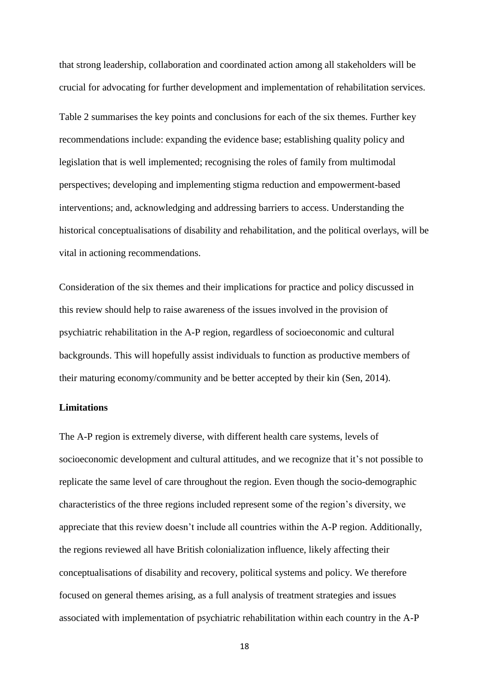that strong leadership, collaboration and coordinated action among all stakeholders will be crucial for advocating for further development and implementation of rehabilitation services.

Table 2 summarises the key points and conclusions for each of the six themes. Further key recommendations include: expanding the evidence base; establishing quality policy and legislation that is well implemented; recognising the roles of family from multimodal perspectives; developing and implementing stigma reduction and empowerment-based interventions; and, acknowledging and addressing barriers to access. Understanding the historical conceptualisations of disability and rehabilitation, and the political overlays, will be vital in actioning recommendations.

Consideration of the six themes and their implications for practice and policy discussed in this review should help to raise awareness of the issues involved in the provision of psychiatric rehabilitation in the A-P region, regardless of socioeconomic and cultural backgrounds. This will hopefully assist individuals to function as productive members of their maturing economy/community and be better accepted by their kin (Sen, 2014).

## **Limitations**

The A-P region is extremely diverse, with different health care systems, levels of socioeconomic development and cultural attitudes, and we recognize that it's not possible to replicate the same level of care throughout the region. Even though the socio-demographic characteristics of the three regions included represent some of the region's diversity, we appreciate that this review doesn't include all countries within the A-P region. Additionally, the regions reviewed all have British colonialization influence, likely affecting their conceptualisations of disability and recovery, political systems and policy. We therefore focused on general themes arising, as a full analysis of treatment strategies and issues associated with implementation of psychiatric rehabilitation within each country in the A-P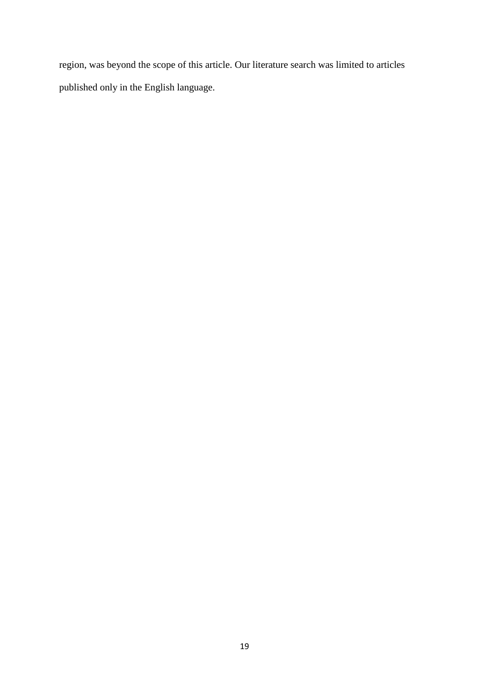region, was beyond the scope of this article. Our literature search was limited to articles published only in the English language.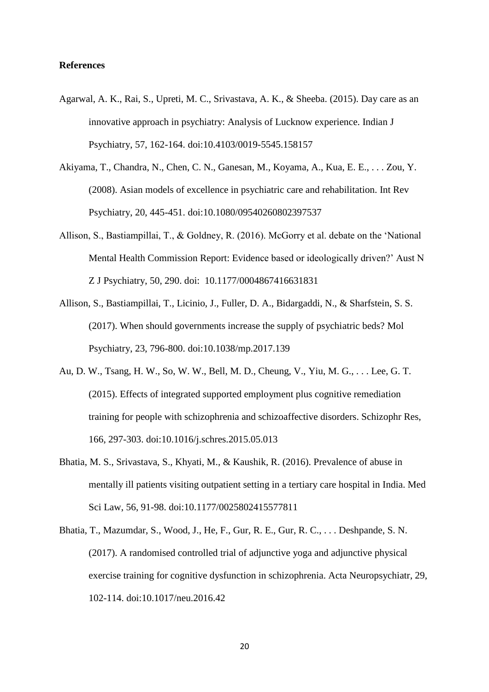## **References**

- Agarwal, A. K., Rai, S., Upreti, M. C., Srivastava, A. K., & Sheeba. (2015). Day care as an innovative approach in psychiatry: Analysis of Lucknow experience. Indian J Psychiatry, 57, 162-164. doi:10.4103/0019-5545.158157
- Akiyama, T., Chandra, N., Chen, C. N., Ganesan, M., Koyama, A., Kua, E. E., . . . Zou, Y. (2008). Asian models of excellence in psychiatric care and rehabilitation. Int Rev Psychiatry, 20, 445-451. doi:10.1080/09540260802397537
- Allison, S., Bastiampillai, T., & Goldney, R. (2016). McGorry et al. debate on the 'National Mental Health Commission Report: Evidence based or ideologically driven?' Aust N Z J Psychiatry, 50, 290. doi: 10.1177/0004867416631831
- Allison, S., Bastiampillai, T., Licinio, J., Fuller, D. A., Bidargaddi, N., & Sharfstein, S. S. (2017). When should governments increase the supply of psychiatric beds? Mol Psychiatry, 23, 796-800. doi:10.1038/mp.2017.139
- Au, D. W., Tsang, H. W., So, W. W., Bell, M. D., Cheung, V., Yiu, M. G., . . . Lee, G. T. (2015). Effects of integrated supported employment plus cognitive remediation training for people with schizophrenia and schizoaffective disorders. Schizophr Res, 166, 297-303. doi:10.1016/j.schres.2015.05.013
- Bhatia, M. S., Srivastava, S., Khyati, M., & Kaushik, R. (2016). Prevalence of abuse in mentally ill patients visiting outpatient setting in a tertiary care hospital in India. Med Sci Law, 56, 91-98. doi:10.1177/0025802415577811
- Bhatia, T., Mazumdar, S., Wood, J., He, F., Gur, R. E., Gur, R. C., . . . Deshpande, S. N. (2017). A randomised controlled trial of adjunctive yoga and adjunctive physical exercise training for cognitive dysfunction in schizophrenia. Acta Neuropsychiatr, 29, 102-114. doi:10.1017/neu.2016.42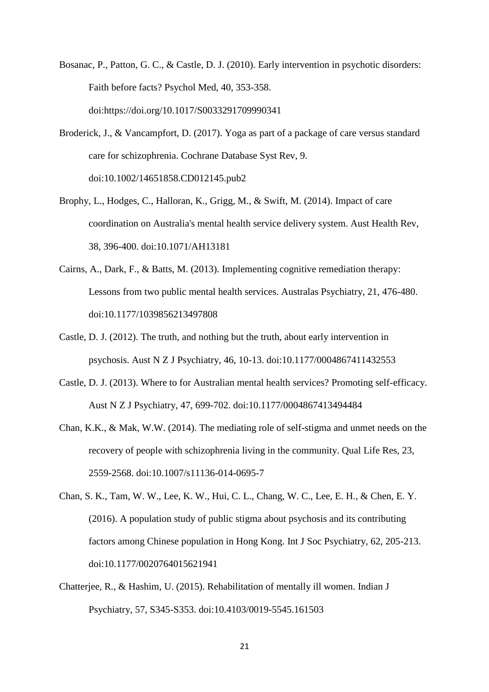- Bosanac, P., Patton, G. C., & Castle, D. J. (2010). Early intervention in psychotic disorders: Faith before facts? Psychol Med, 40, 353-358. doi:https://doi.org/10.1017/S0033291709990341
- Broderick, J., & Vancampfort, D. (2017). Yoga as part of a package of care versus standard care for schizophrenia. Cochrane Database Syst Rev, 9. doi:10.1002/14651858.CD012145.pub2
- Brophy, L., Hodges, C., Halloran, K., Grigg, M., & Swift, M. (2014). Impact of care coordination on Australia's mental health service delivery system. Aust Health Rev, 38, 396-400. doi:10.1071/AH13181
- Cairns, A., Dark, F., & Batts, M. (2013). Implementing cognitive remediation therapy: Lessons from two public mental health services. Australas Psychiatry, 21, 476-480. doi:10.1177/1039856213497808
- Castle, D. J. (2012). The truth, and nothing but the truth, about early intervention in psychosis. Aust N Z J Psychiatry, 46, 10-13. doi:10.1177/0004867411432553
- Castle, D. J. (2013). Where to for Australian mental health services? Promoting self-efficacy. Aust N Z J Psychiatry, 47, 699-702. doi:10.1177/0004867413494484
- Chan, K.K., & Mak, W.W. (2014). The mediating role of self-stigma and unmet needs on the recovery of people with schizophrenia living in the community. Qual Life Res, 23, 2559-2568. doi:10.1007/s11136-014-0695-7
- Chan, S. K., Tam, W. W., Lee, K. W., Hui, C. L., Chang, W. C., Lee, E. H., & Chen, E. Y. (2016). A population study of public stigma about psychosis and its contributing factors among Chinese population in Hong Kong. Int J Soc Psychiatry, 62, 205-213. doi:10.1177/0020764015621941
- Chatterjee, R., & Hashim, U. (2015). Rehabilitation of mentally ill women. Indian J Psychiatry, 57, S345-S353. doi:10.4103/0019-5545.161503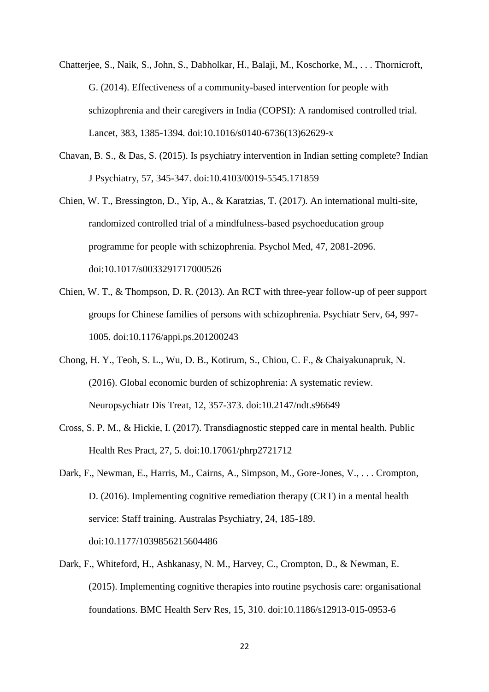- Chatterjee, S., Naik, S., John, S., Dabholkar, H., Balaji, M., Koschorke, M., . . . Thornicroft, G. (2014). Effectiveness of a community-based intervention for people with schizophrenia and their caregivers in India (COPSI): A randomised controlled trial. Lancet, 383, 1385-1394. doi:10.1016/s0140-6736(13)62629-x
- Chavan, B. S., & Das, S. (2015). Is psychiatry intervention in Indian setting complete? Indian J Psychiatry, 57, 345-347. doi:10.4103/0019-5545.171859
- Chien, W. T., Bressington, D., Yip, A., & Karatzias, T. (2017). An international multi-site, randomized controlled trial of a mindfulness-based psychoeducation group programme for people with schizophrenia. Psychol Med, 47, 2081-2096. doi:10.1017/s0033291717000526
- Chien, W. T., & Thompson, D. R. (2013). An RCT with three-year follow-up of peer support groups for Chinese families of persons with schizophrenia. Psychiatr Serv, 64, 997- 1005. doi:10.1176/appi.ps.201200243
- Chong, H. Y., Teoh, S. L., Wu, D. B., Kotirum, S., Chiou, C. F., & Chaiyakunapruk, N. (2016). Global economic burden of schizophrenia: A systematic review. Neuropsychiatr Dis Treat, 12, 357-373. doi:10.2147/ndt.s96649
- Cross, S. P. M., & Hickie, I. (2017). Transdiagnostic stepped care in mental health. Public Health Res Pract, 27, 5. doi:10.17061/phrp2721712
- Dark, F., Newman, E., Harris, M., Cairns, A., Simpson, M., Gore-Jones, V., . . . Crompton, D. (2016). Implementing cognitive remediation therapy (CRT) in a mental health service: Staff training. Australas Psychiatry, 24, 185-189. doi:10.1177/1039856215604486
- Dark, F., Whiteford, H., Ashkanasy, N. M., Harvey, C., Crompton, D., & Newman, E. (2015). Implementing cognitive therapies into routine psychosis care: organisational foundations. BMC Health Serv Res, 15, 310. doi:10.1186/s12913-015-0953-6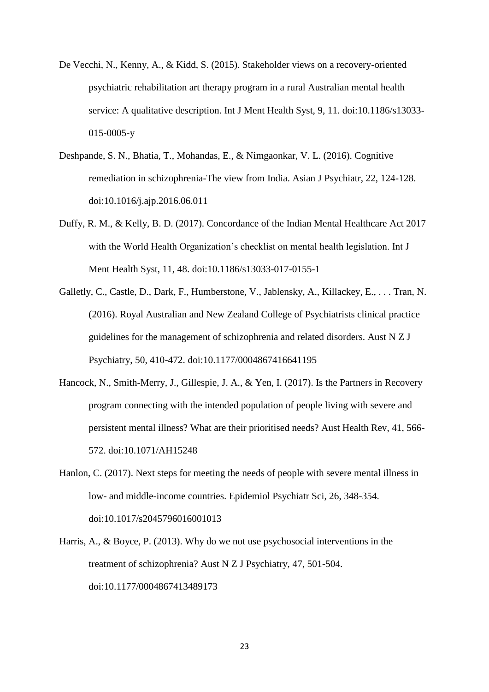- De Vecchi, N., Kenny, A., & Kidd, S. (2015). Stakeholder views on a recovery-oriented psychiatric rehabilitation art therapy program in a rural Australian mental health service: A qualitative description. Int J Ment Health Syst, 9, 11. doi:10.1186/s13033- 015-0005-y
- Deshpande, S. N., Bhatia, T., Mohandas, E., & Nimgaonkar, V. L. (2016). Cognitive remediation in schizophrenia-The view from India. Asian J Psychiatr, 22, 124-128. doi:10.1016/j.ajp.2016.06.011
- Duffy, R. M., & Kelly, B. D. (2017). Concordance of the Indian Mental Healthcare Act 2017 with the World Health Organization's checklist on mental health legislation. Int J Ment Health Syst, 11, 48. doi:10.1186/s13033-017-0155-1
- Galletly, C., Castle, D., Dark, F., Humberstone, V., Jablensky, A., Killackey, E., . . . Tran, N. (2016). Royal Australian and New Zealand College of Psychiatrists clinical practice guidelines for the management of schizophrenia and related disorders. Aust N Z J Psychiatry, 50, 410-472. doi:10.1177/0004867416641195
- Hancock, N., Smith-Merry, J., Gillespie, J. A., & Yen, I. (2017). Is the Partners in Recovery program connecting with the intended population of people living with severe and persistent mental illness? What are their prioritised needs? Aust Health Rev, 41, 566- 572. doi:10.1071/AH15248
- Hanlon, C. (2017). Next steps for meeting the needs of people with severe mental illness in low- and middle-income countries. Epidemiol Psychiatr Sci, 26, 348-354. doi:10.1017/s2045796016001013
- Harris, A., & Boyce, P. (2013). Why do we not use psychosocial interventions in the treatment of schizophrenia? Aust N Z J Psychiatry, 47, 501-504. doi:10.1177/0004867413489173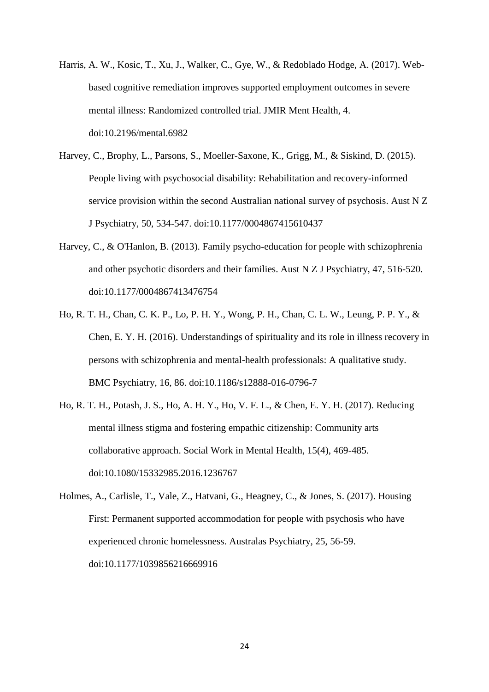- Harris, A. W., Kosic, T., Xu, J., Walker, C., Gye, W., & Redoblado Hodge, A. (2017). Webbased cognitive remediation improves supported employment outcomes in severe mental illness: Randomized controlled trial. JMIR Ment Health, 4. doi:10.2196/mental.6982
- Harvey, C., Brophy, L., Parsons, S., Moeller-Saxone, K., Grigg, M., & Siskind, D. (2015). People living with psychosocial disability: Rehabilitation and recovery-informed service provision within the second Australian national survey of psychosis. Aust N Z J Psychiatry, 50, 534-547. doi:10.1177/0004867415610437
- Harvey, C., & O'Hanlon, B. (2013). Family psycho-education for people with schizophrenia and other psychotic disorders and their families. Aust N Z J Psychiatry, 47, 516-520. doi:10.1177/0004867413476754
- Ho, R. T. H., Chan, C. K. P., Lo, P. H. Y., Wong, P. H., Chan, C. L. W., Leung, P. P. Y., & Chen, E. Y. H. (2016). Understandings of spirituality and its role in illness recovery in persons with schizophrenia and mental-health professionals: A qualitative study. BMC Psychiatry, 16, 86. doi:10.1186/s12888-016-0796-7
- Ho, R. T. H., Potash, J. S., Ho, A. H. Y., Ho, V. F. L., & Chen, E. Y. H. (2017). Reducing mental illness stigma and fostering empathic citizenship: Community arts collaborative approach. Social Work in Mental Health, 15(4), 469-485. doi:10.1080/15332985.2016.1236767
- Holmes, A., Carlisle, T., Vale, Z., Hatvani, G., Heagney, C., & Jones, S. (2017). Housing First: Permanent supported accommodation for people with psychosis who have experienced chronic homelessness. Australas Psychiatry, 25, 56-59. doi:10.1177/1039856216669916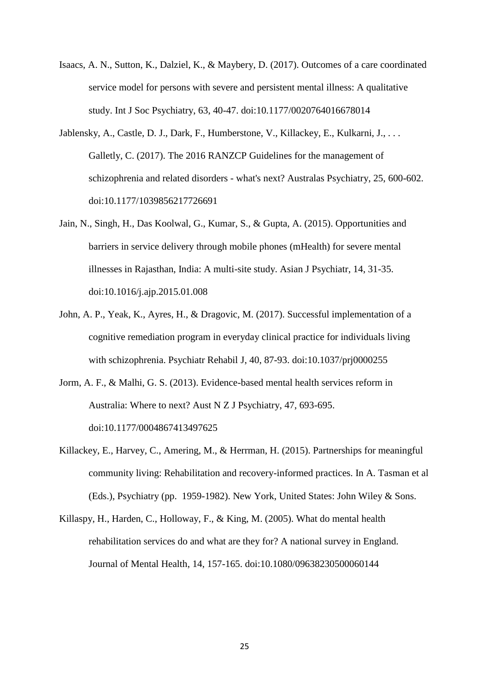- Isaacs, A. N., Sutton, K., Dalziel, K., & Maybery, D. (2017). Outcomes of a care coordinated service model for persons with severe and persistent mental illness: A qualitative study. Int J Soc Psychiatry, 63, 40-47. doi:10.1177/0020764016678014
- Jablensky, A., Castle, D. J., Dark, F., Humberstone, V., Killackey, E., Kulkarni, J., . . . Galletly, C. (2017). The 2016 RANZCP Guidelines for the management of schizophrenia and related disorders - what's next? Australas Psychiatry, 25, 600-602. doi:10.1177/1039856217726691
- Jain, N., Singh, H., Das Koolwal, G., Kumar, S., & Gupta, A. (2015). Opportunities and barriers in service delivery through mobile phones (mHealth) for severe mental illnesses in Rajasthan, India: A multi-site study. Asian J Psychiatr, 14, 31-35. doi:10.1016/j.ajp.2015.01.008
- John, A. P., Yeak, K., Ayres, H., & Dragovic, M. (2017). Successful implementation of a cognitive remediation program in everyday clinical practice for individuals living with schizophrenia. Psychiatr Rehabil J, 40, 87-93. doi:10.1037/prj0000255
- Jorm, A. F., & Malhi, G. S. (2013). Evidence-based mental health services reform in Australia: Where to next? Aust N Z J Psychiatry, 47, 693-695. doi:10.1177/0004867413497625
- Killackey, E., Harvey, C., Amering, M., & Herrman, H. (2015). Partnerships for meaningful community living: Rehabilitation and recovery-informed practices. In A. Tasman et al (Eds.), Psychiatry (pp. 1959-1982). New York, United States: John Wiley & Sons.
- Killaspy, H., Harden, C., Holloway, F., & King, M. (2005). What do mental health rehabilitation services do and what are they for? A national survey in England. Journal of Mental Health, 14, 157-165. doi:10.1080/09638230500060144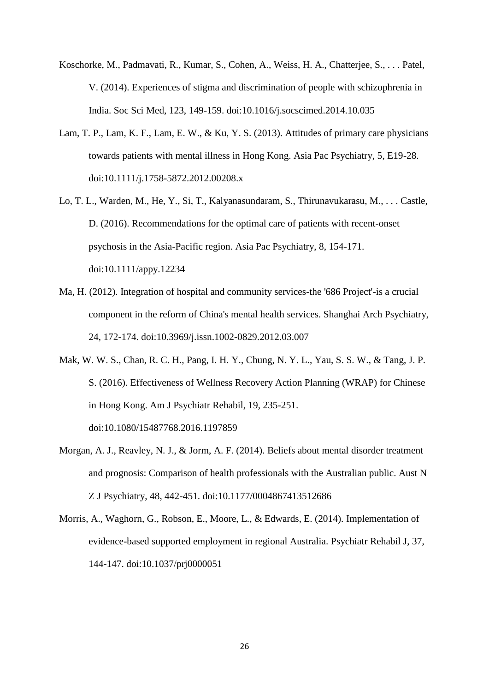- Koschorke, M., Padmavati, R., Kumar, S., Cohen, A., Weiss, H. A., Chatterjee, S., . . . Patel, V. (2014). Experiences of stigma and discrimination of people with schizophrenia in India. Soc Sci Med, 123, 149-159. doi:10.1016/j.socscimed.2014.10.035
- Lam, T. P., Lam, K. F., Lam, E. W., & Ku, Y. S. (2013). Attitudes of primary care physicians towards patients with mental illness in Hong Kong. Asia Pac Psychiatry, 5, E19-28. doi:10.1111/j.1758-5872.2012.00208.x
- Lo, T. L., Warden, M., He, Y., Si, T., Kalyanasundaram, S., Thirunavukarasu, M., . . . Castle, D. (2016). Recommendations for the optimal care of patients with recent-onset psychosis in the Asia-Pacific region. Asia Pac Psychiatry, 8, 154-171. doi:10.1111/appy.12234
- Ma, H. (2012). Integration of hospital and community services-the '686 Project'-is a crucial component in the reform of China's mental health services. Shanghai Arch Psychiatry, 24, 172-174. doi:10.3969/j.issn.1002-0829.2012.03.007
- Mak, W. W. S., Chan, R. C. H., Pang, I. H. Y., Chung, N. Y. L., Yau, S. S. W., & Tang, J. P. S. (2016). Effectiveness of Wellness Recovery Action Planning (WRAP) for Chinese in Hong Kong. Am J Psychiatr Rehabil, 19, 235-251. doi:10.1080/15487768.2016.1197859
- Morgan, A. J., Reavley, N. J., & Jorm, A. F. (2014). Beliefs about mental disorder treatment and prognosis: Comparison of health professionals with the Australian public. Aust N Z J Psychiatry, 48, 442-451. doi:10.1177/0004867413512686
- Morris, A., Waghorn, G., Robson, E., Moore, L., & Edwards, E. (2014). Implementation of evidence-based supported employment in regional Australia. Psychiatr Rehabil J, 37, 144-147. doi:10.1037/prj0000051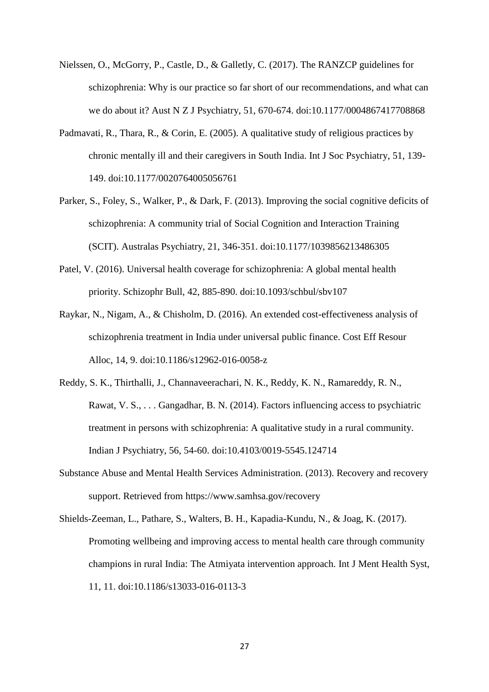- Nielssen, O., McGorry, P., Castle, D., & Galletly, C. (2017). The RANZCP guidelines for schizophrenia: Why is our practice so far short of our recommendations, and what can we do about it? Aust N Z J Psychiatry, 51, 670-674. doi:10.1177/0004867417708868
- Padmavati, R., Thara, R., & Corin, E. (2005). A qualitative study of religious practices by chronic mentally ill and their caregivers in South India. Int J Soc Psychiatry, 51, 139- 149. doi:10.1177/0020764005056761
- Parker, S., Foley, S., Walker, P., & Dark, F. (2013). Improving the social cognitive deficits of schizophrenia: A community trial of Social Cognition and Interaction Training (SCIT). Australas Psychiatry, 21, 346-351. doi:10.1177/1039856213486305
- Patel, V. (2016). Universal health coverage for schizophrenia: A global mental health priority. Schizophr Bull, 42, 885-890. doi:10.1093/schbul/sbv107
- Raykar, N., Nigam, A., & Chisholm, D. (2016). An extended cost-effectiveness analysis of schizophrenia treatment in India under universal public finance. Cost Eff Resour Alloc, 14, 9. doi:10.1186/s12962-016-0058-z
- Reddy, S. K., Thirthalli, J., Channaveerachari, N. K., Reddy, K. N., Ramareddy, R. N., Rawat, V. S., . . . Gangadhar, B. N. (2014). Factors influencing access to psychiatric treatment in persons with schizophrenia: A qualitative study in a rural community. Indian J Psychiatry, 56, 54-60. doi:10.4103/0019-5545.124714
- Substance Abuse and Mental Health Services Administration. (2013). Recovery and recovery support. Retrieved from https://www.samhsa.gov/recovery
- Shields-Zeeman, L., Pathare, S., Walters, B. H., Kapadia-Kundu, N., & Joag, K. (2017). Promoting wellbeing and improving access to mental health care through community champions in rural India: The Atmiyata intervention approach. Int J Ment Health Syst, 11, 11. doi:10.1186/s13033-016-0113-3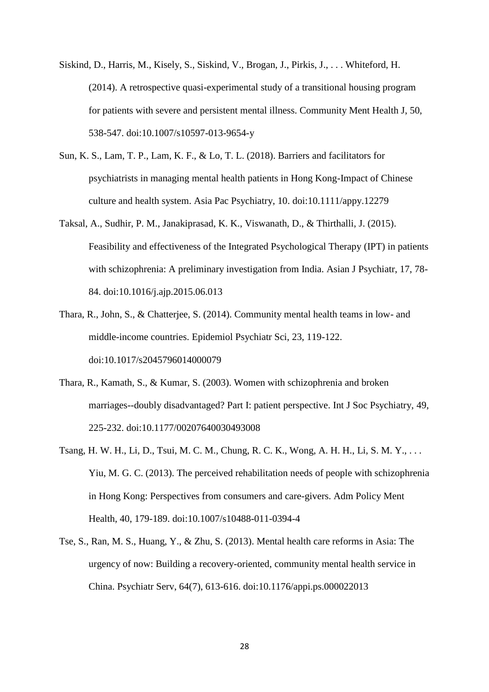- Siskind, D., Harris, M., Kisely, S., Siskind, V., Brogan, J., Pirkis, J., . . . Whiteford, H. (2014). A retrospective quasi-experimental study of a transitional housing program for patients with severe and persistent mental illness. Community Ment Health J, 50, 538-547. doi:10.1007/s10597-013-9654-y
- Sun, K. S., Lam, T. P., Lam, K. F., & Lo, T. L. (2018). Barriers and facilitators for psychiatrists in managing mental health patients in Hong Kong-Impact of Chinese culture and health system. Asia Pac Psychiatry, 10. doi:10.1111/appy.12279
- Taksal, A., Sudhir, P. M., Janakiprasad, K. K., Viswanath, D., & Thirthalli, J. (2015). Feasibility and effectiveness of the Integrated Psychological Therapy (IPT) in patients with schizophrenia: A preliminary investigation from India. Asian J Psychiatr, 17, 78- 84. doi:10.1016/j.ajp.2015.06.013
- Thara, R., John, S., & Chatterjee, S. (2014). Community mental health teams in low- and middle-income countries. Epidemiol Psychiatr Sci, 23, 119-122. doi:10.1017/s2045796014000079
- Thara, R., Kamath, S., & Kumar, S. (2003). Women with schizophrenia and broken marriages--doubly disadvantaged? Part I: patient perspective. Int J Soc Psychiatry, 49, 225-232. doi:10.1177/00207640030493008
- Tsang, H. W. H., Li, D., Tsui, M. C. M., Chung, R. C. K., Wong, A. H. H., Li, S. M. Y., . . . Yiu, M. G. C. (2013). The perceived rehabilitation needs of people with schizophrenia in Hong Kong: Perspectives from consumers and care-givers. Adm Policy Ment Health, 40, 179-189. doi:10.1007/s10488-011-0394-4
- Tse, S., Ran, M. S., Huang, Y., & Zhu, S. (2013). Mental health care reforms in Asia: The urgency of now: Building a recovery-oriented, community mental health service in China. Psychiatr Serv, 64(7), 613-616. doi:10.1176/appi.ps.000022013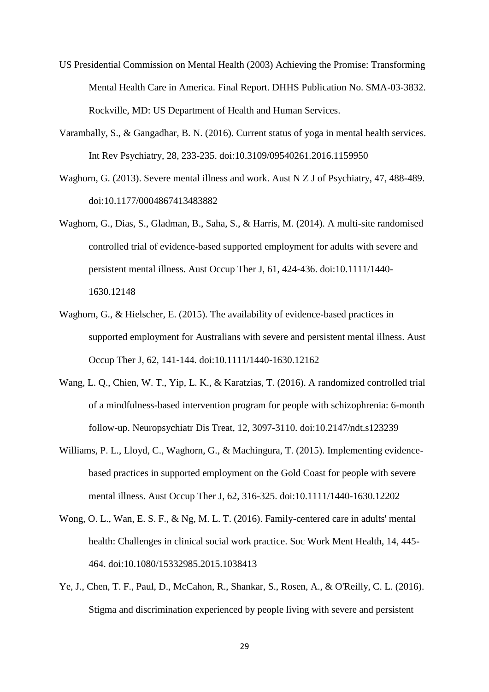- US Presidential Commission on Mental Health (2003) Achieving the Promise: Transforming Mental Health Care in America. Final Report. DHHS Publication No. SMA-03-3832. Rockville, MD: US Department of Health and Human Services.
- Varambally, S., & Gangadhar, B. N. (2016). Current status of yoga in mental health services. Int Rev Psychiatry, 28, 233-235. doi:10.3109/09540261.2016.1159950
- Waghorn, G. (2013). Severe mental illness and work. Aust N Z J of Psychiatry, 47, 488-489. doi:10.1177/0004867413483882
- Waghorn, G., Dias, S., Gladman, B., Saha, S., & Harris, M. (2014). A multi-site randomised controlled trial of evidence-based supported employment for adults with severe and persistent mental illness. Aust Occup Ther J, 61, 424-436. doi:10.1111/1440- 1630.12148
- Waghorn, G., & Hielscher, E. (2015). The availability of evidence-based practices in supported employment for Australians with severe and persistent mental illness. Aust Occup Ther J, 62, 141-144. doi:10.1111/1440-1630.12162
- Wang, L. Q., Chien, W. T., Yip, L. K., & Karatzias, T. (2016). A randomized controlled trial of a mindfulness-based intervention program for people with schizophrenia: 6-month follow-up. Neuropsychiatr Dis Treat, 12, 3097-3110. doi:10.2147/ndt.s123239
- Williams, P. L., Lloyd, C., Waghorn, G., & Machingura, T. (2015). Implementing evidencebased practices in supported employment on the Gold Coast for people with severe mental illness. Aust Occup Ther J, 62, 316-325. doi:10.1111/1440-1630.12202
- Wong, O. L., Wan, E. S. F., & Ng, M. L. T. (2016). Family-centered care in adults' mental health: Challenges in clinical social work practice. Soc Work Ment Health, 14, 445- 464. doi:10.1080/15332985.2015.1038413
- Ye, J., Chen, T. F., Paul, D., McCahon, R., Shankar, S., Rosen, A., & O'Reilly, C. L. (2016). Stigma and discrimination experienced by people living with severe and persistent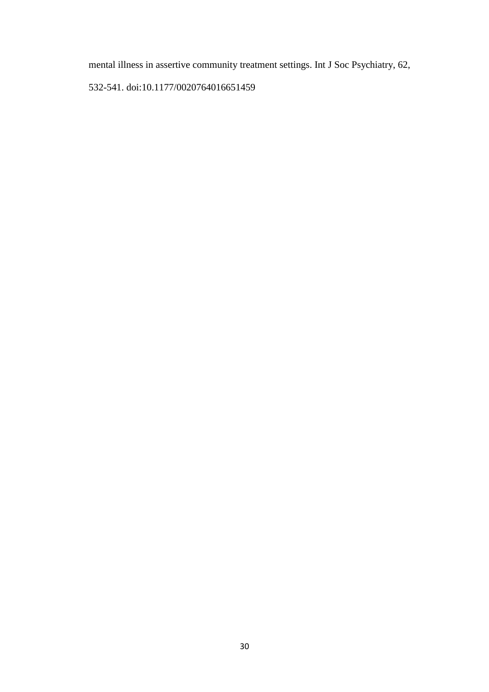mental illness in assertive community treatment settings. Int J Soc Psychiatry, 62,

532-541. doi:10.1177/0020764016651459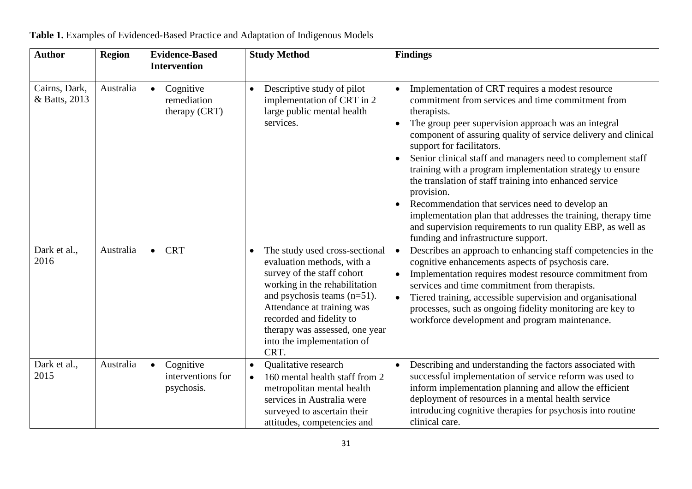| <b>Author</b>                  | <b>Region</b> | <b>Evidence-Based</b><br><b>Intervention</b>              | <b>Study Method</b>                                                                                                                                                                                                                                                                             | <b>Findings</b>                                                                                                                                                                                                                                                                                                                                                                                                                                                                                                                                                                                                                                                                                                                     |
|--------------------------------|---------------|-----------------------------------------------------------|-------------------------------------------------------------------------------------------------------------------------------------------------------------------------------------------------------------------------------------------------------------------------------------------------|-------------------------------------------------------------------------------------------------------------------------------------------------------------------------------------------------------------------------------------------------------------------------------------------------------------------------------------------------------------------------------------------------------------------------------------------------------------------------------------------------------------------------------------------------------------------------------------------------------------------------------------------------------------------------------------------------------------------------------------|
| Cairns, Dark,<br>& Batts, 2013 | Australia     | Cognitive<br>$\bullet$<br>remediation<br>therapy (CRT)    | Descriptive study of pilot<br>implementation of CRT in 2<br>large public mental health<br>services.                                                                                                                                                                                             | Implementation of CRT requires a modest resource<br>$\bullet$<br>commitment from services and time commitment from<br>therapists.<br>The group peer supervision approach was an integral<br>$\bullet$<br>component of assuring quality of service delivery and clinical<br>support for facilitators.<br>Senior clinical staff and managers need to complement staff<br>training with a program implementation strategy to ensure<br>the translation of staff training into enhanced service<br>provision.<br>Recommendation that services need to develop an<br>implementation plan that addresses the training, therapy time<br>and supervision requirements to run quality EBP, as well as<br>funding and infrastructure support. |
| Dark et al.,<br>2016           | Australia     | <b>CRT</b><br>$\bullet$                                   | The study used cross-sectional<br>evaluation methods, with a<br>survey of the staff cohort<br>working in the rehabilitation<br>and psychosis teams $(n=51)$ .<br>Attendance at training was<br>recorded and fidelity to<br>therapy was assessed, one year<br>into the implementation of<br>CRT. | Describes an approach to enhancing staff competencies in the<br>$\bullet$<br>cognitive enhancements aspects of psychosis care.<br>Implementation requires modest resource commitment from<br>$\bullet$<br>services and time commitment from therapists.<br>Tiered training, accessible supervision and organisational<br>processes, such as ongoing fidelity monitoring are key to<br>workforce development and program maintenance.                                                                                                                                                                                                                                                                                                |
| Dark et al.,<br>2015           | Australia     | $\bullet$<br>Cognitive<br>interventions for<br>psychosis. | Qualitative research<br>$\bullet$<br>160 mental health staff from 2<br>metropolitan mental health<br>services in Australia were<br>surveyed to ascertain their<br>attitudes, competencies and                                                                                                   | Describing and understanding the factors associated with<br>successful implementation of service reform was used to<br>inform implementation planning and allow the efficient<br>deployment of resources in a mental health service<br>introducing cognitive therapies for psychosis into routine<br>clinical care.                                                                                                                                                                                                                                                                                                                                                                                                                 |

**Table 1.** Examples of Evidenced-Based Practice and Adaptation of Indigenous Models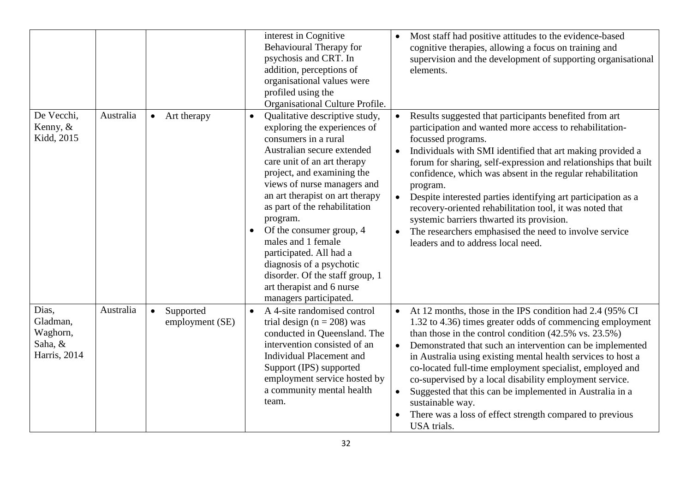|                                                          |           |                                           | interest in Cognitive<br><b>Behavioural Therapy for</b><br>psychosis and CRT. In<br>addition, perceptions of<br>organisational values were<br>profiled using the<br>Organisational Culture Profile.                                                                                                                                                                                                                                                                                                                           | Most staff had positive attitudes to the evidence-based<br>cognitive therapies, allowing a focus on training and<br>supervision and the development of supporting organisational<br>elements.                                                                                                                                                                                                                                                                                                                                                                                                                                |
|----------------------------------------------------------|-----------|-------------------------------------------|-------------------------------------------------------------------------------------------------------------------------------------------------------------------------------------------------------------------------------------------------------------------------------------------------------------------------------------------------------------------------------------------------------------------------------------------------------------------------------------------------------------------------------|------------------------------------------------------------------------------------------------------------------------------------------------------------------------------------------------------------------------------------------------------------------------------------------------------------------------------------------------------------------------------------------------------------------------------------------------------------------------------------------------------------------------------------------------------------------------------------------------------------------------------|
| De Vecchi,<br>Kenny, &<br>Kidd, 2015                     | Australia | Art therapy<br>$\bullet$                  | Qualitative descriptive study,<br>$\bullet$<br>exploring the experiences of<br>consumers in a rural<br>Australian secure extended<br>care unit of an art therapy<br>project, and examining the<br>views of nurse managers and<br>an art therapist on art therapy<br>as part of the rehabilitation<br>program.<br>Of the consumer group, 4<br>$\bullet$<br>males and 1 female<br>participated. All had a<br>diagnosis of a psychotic<br>disorder. Of the staff group, 1<br>art therapist and 6 nurse<br>managers participated. | Results suggested that participants benefited from art<br>participation and wanted more access to rehabilitation-<br>focussed programs.<br>Individuals with SMI identified that art making provided a<br>forum for sharing, self-expression and relationships that built<br>confidence, which was absent in the regular rehabilitation<br>program.<br>Despite interested parties identifying art participation as a<br>recovery-oriented rehabilitation tool, it was noted that<br>systemic barriers thwarted its provision.<br>The researchers emphasised the need to involve service<br>leaders and to address local need. |
| Dias,<br>Gladman,<br>Waghorn,<br>Saha, &<br>Harris, 2014 | Australia | Supported<br>$\bullet$<br>employment (SE) | A 4-site randomised control<br>$\bullet$<br>trial design ( $n = 208$ ) was<br>conducted in Queensland. The<br>intervention consisted of an<br><b>Individual Placement and</b><br>Support (IPS) supported<br>employment service hosted by<br>a community mental health<br>team.                                                                                                                                                                                                                                                | At 12 months, those in the IPS condition had 2.4 (95% CI<br>$\bullet$<br>1.32 to 4.36) times greater odds of commencing employment<br>than those in the control condition $(42.5\% \text{ vs. } 23.5\%)$<br>Demonstrated that such an intervention can be implemented<br>in Australia using existing mental health services to host a<br>co-located full-time employment specialist, employed and<br>co-supervised by a local disability employment service.<br>Suggested that this can be implemented in Australia in a<br>sustainable way.<br>There was a loss of effect strength compared to previous<br>USA trials.      |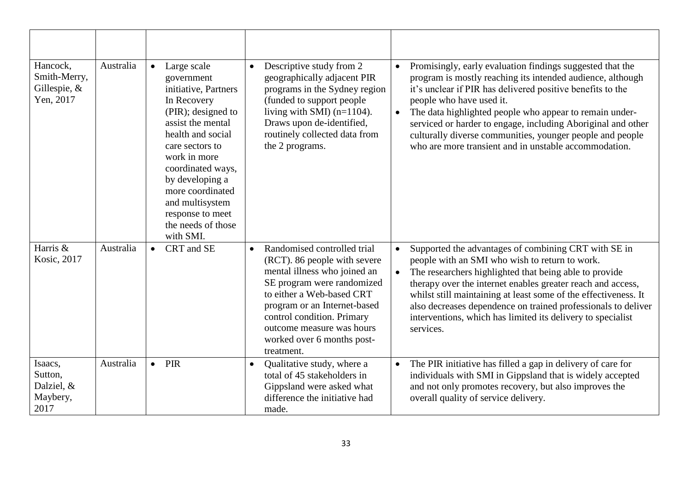| Hancock,<br>Smith-Merry,<br>Gillespie, &<br>Yen, 2017 | Australia | Large scale<br>$\bullet$<br>government<br>initiative, Partners<br>In Recovery<br>(PIR); designed to<br>assist the mental<br>health and social<br>care sectors to<br>work in more<br>coordinated ways,<br>by developing a<br>more coordinated<br>and multisystem<br>response to meet<br>the needs of those<br>with SMI. | Descriptive study from 2<br>$\bullet$<br>geographically adjacent PIR<br>programs in the Sydney region<br>(funded to support people<br>living with SMI) $(n=1104)$ .<br>Draws upon de-identified,<br>routinely collected data from<br>the 2 programs.                                                       | Promisingly, early evaluation findings suggested that the<br>program is mostly reaching its intended audience, although<br>it's unclear if PIR has delivered positive benefits to the<br>people who have used it.<br>The data highlighted people who appear to remain under-<br>serviced or harder to engage, including Aboriginal and other<br>culturally diverse communities, younger people and people<br>who are more transient and in unstable accommodation. |
|-------------------------------------------------------|-----------|------------------------------------------------------------------------------------------------------------------------------------------------------------------------------------------------------------------------------------------------------------------------------------------------------------------------|------------------------------------------------------------------------------------------------------------------------------------------------------------------------------------------------------------------------------------------------------------------------------------------------------------|--------------------------------------------------------------------------------------------------------------------------------------------------------------------------------------------------------------------------------------------------------------------------------------------------------------------------------------------------------------------------------------------------------------------------------------------------------------------|
| Harris &<br>Kosic, 2017                               | Australia | CRT and SE<br>$\bullet$                                                                                                                                                                                                                                                                                                | Randomised controlled trial<br>$\bullet$<br>(RCT). 86 people with severe<br>mental illness who joined an<br>SE program were randomized<br>to either a Web-based CRT<br>program or an Internet-based<br>control condition. Primary<br>outcome measure was hours<br>worked over 6 months post-<br>treatment. | Supported the advantages of combining CRT with SE in<br>people with an SMI who wish to return to work.<br>The researchers highlighted that being able to provide<br>therapy over the internet enables greater reach and access,<br>whilst still maintaining at least some of the effectiveness. It<br>also decreases dependence on trained professionals to deliver<br>interventions, which has limited its delivery to specialist<br>services.                    |
| Isaacs,<br>Sutton,<br>Dalziel, &<br>Maybery,<br>2017  | Australia | PIR<br>$\bullet$                                                                                                                                                                                                                                                                                                       | Qualitative study, where a<br>$\bullet$<br>total of 45 stakeholders in<br>Gippsland were asked what<br>difference the initiative had<br>made.                                                                                                                                                              | The PIR initiative has filled a gap in delivery of care for<br>individuals with SMI in Gippsland that is widely accepted<br>and not only promotes recovery, but also improves the<br>overall quality of service delivery.                                                                                                                                                                                                                                          |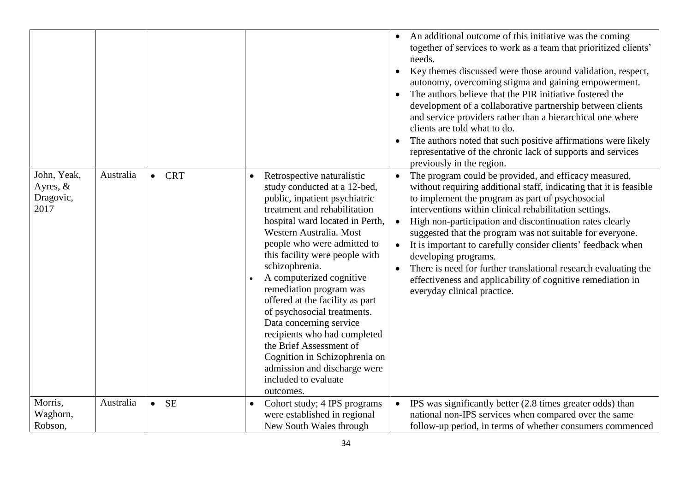|                                                |           |                         |                                                                                                                                                                                                                                                                                                                                                                                                                                                                                                                                                                                                                | An additional outcome of this initiative was the coming<br>together of services to work as a team that prioritized clients'<br>needs.<br>Key themes discussed were those around validation, respect,<br>autonomy, overcoming stigma and gaining empowerment.<br>The authors believe that the PIR initiative fostered the<br>$\bullet$<br>development of a collaborative partnership between clients<br>and service providers rather than a hierarchical one where<br>clients are told what to do.<br>The authors noted that such positive affirmations were likely<br>representative of the chronic lack of supports and services<br>previously in the region. |
|------------------------------------------------|-----------|-------------------------|----------------------------------------------------------------------------------------------------------------------------------------------------------------------------------------------------------------------------------------------------------------------------------------------------------------------------------------------------------------------------------------------------------------------------------------------------------------------------------------------------------------------------------------------------------------------------------------------------------------|----------------------------------------------------------------------------------------------------------------------------------------------------------------------------------------------------------------------------------------------------------------------------------------------------------------------------------------------------------------------------------------------------------------------------------------------------------------------------------------------------------------------------------------------------------------------------------------------------------------------------------------------------------------|
| John, Yeak,<br>Ayres, $&$<br>Dragovic,<br>2017 | Australia | <b>CRT</b><br>$\bullet$ | Retrospective naturalistic<br>$\bullet$<br>study conducted at a 12-bed,<br>public, inpatient psychiatric<br>treatment and rehabilitation<br>hospital ward located in Perth,<br>Western Australia. Most<br>people who were admitted to<br>this facility were people with<br>schizophrenia.<br>A computerized cognitive<br>remediation program was<br>offered at the facility as part<br>of psychosocial treatments.<br>Data concerning service<br>recipients who had completed<br>the Brief Assessment of<br>Cognition in Schizophrenia on<br>admission and discharge were<br>included to evaluate<br>outcomes. | The program could be provided, and efficacy measured,<br>$\bullet$<br>without requiring additional staff, indicating that it is feasible<br>to implement the program as part of psychosocial<br>interventions within clinical rehabilitation settings.<br>High non-participation and discontinuation rates clearly<br>suggested that the program was not suitable for everyone.<br>It is important to carefully consider clients' feedback when<br>$\bullet$<br>developing programs.<br>There is need for further translational research evaluating the<br>effectiveness and applicability of cognitive remediation in<br>everyday clinical practice.          |
| Morris,<br>Waghorn,<br>Robson,                 | Australia | <b>SE</b><br>$\bullet$  | Cohort study; 4 IPS programs<br>were established in regional<br>New South Wales through                                                                                                                                                                                                                                                                                                                                                                                                                                                                                                                        | IPS was significantly better (2.8 times greater odds) than<br>national non-IPS services when compared over the same<br>follow-up period, in terms of whether consumers commenced                                                                                                                                                                                                                                                                                                                                                                                                                                                                               |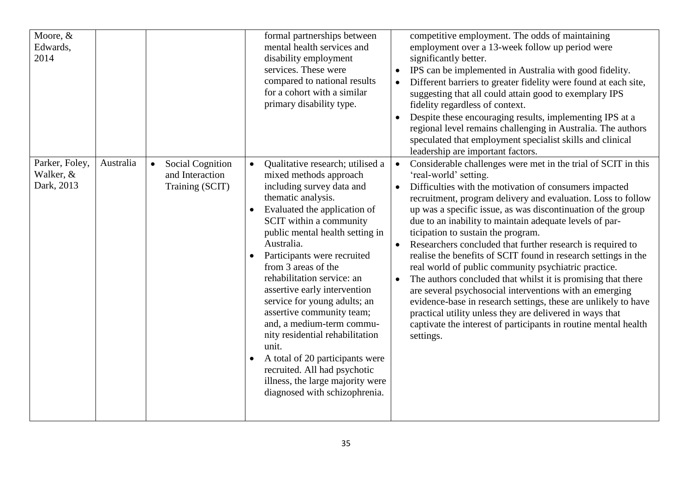| Moore, &<br>Edwards,<br>2014                           |                                                                            | formal partnerships between<br>mental health services and<br>disability employment<br>services. These were<br>compared to national results<br>for a cohort with a similar<br>primary disability type.                                                                                                                                                                                                                                                                                                                                                                                                                                                 | competitive employment. The odds of maintaining<br>employment over a 13-week follow up period were<br>significantly better.<br>IPS can be implemented in Australia with good fidelity.<br>Different barriers to greater fidelity were found at each site,<br>suggesting that all could attain good to exemplary IPS<br>fidelity regardless of context.<br>Despite these encouraging results, implementing IPS at a<br>regional level remains challenging in Australia. The authors<br>speculated that employment specialist skills and clinical<br>leadership are important factors.                                                                                                                                                                                                                                                                                                                                            |
|--------------------------------------------------------|----------------------------------------------------------------------------|-------------------------------------------------------------------------------------------------------------------------------------------------------------------------------------------------------------------------------------------------------------------------------------------------------------------------------------------------------------------------------------------------------------------------------------------------------------------------------------------------------------------------------------------------------------------------------------------------------------------------------------------------------|---------------------------------------------------------------------------------------------------------------------------------------------------------------------------------------------------------------------------------------------------------------------------------------------------------------------------------------------------------------------------------------------------------------------------------------------------------------------------------------------------------------------------------------------------------------------------------------------------------------------------------------------------------------------------------------------------------------------------------------------------------------------------------------------------------------------------------------------------------------------------------------------------------------------------------|
| Parker, Foley,<br>Australia<br>Walker, &<br>Dark, 2013 | <b>Social Cognition</b><br>$\bullet$<br>and Interaction<br>Training (SCIT) | Qualitative research; utilised a<br>$\bullet$<br>mixed methods approach<br>including survey data and<br>thematic analysis.<br>Evaluated the application of<br>SCIT within a community<br>public mental health setting in<br>Australia.<br>Participants were recruited<br>$\bullet$<br>from 3 areas of the<br>rehabilitation service: an<br>assertive early intervention<br>service for young adults; an<br>assertive community team;<br>and, a medium-term commu-<br>nity residential rehabilitation<br>unit.<br>A total of 20 participants were<br>recruited. All had psychotic<br>illness, the large majority were<br>diagnosed with schizophrenia. | Considerable challenges were met in the trial of SCIT in this<br>$\bullet$<br>'real-world' setting.<br>Difficulties with the motivation of consumers impacted<br>recruitment, program delivery and evaluation. Loss to follow<br>up was a specific issue, as was discontinuation of the group<br>due to an inability to maintain adequate levels of par-<br>ticipation to sustain the program.<br>Researchers concluded that further research is required to<br>realise the benefits of SCIT found in research settings in the<br>real world of public community psychiatric practice.<br>The authors concluded that whilst it is promising that there<br>are several psychosocial interventions with an emerging<br>evidence-base in research settings, these are unlikely to have<br>practical utility unless they are delivered in ways that<br>captivate the interest of participants in routine mental health<br>settings. |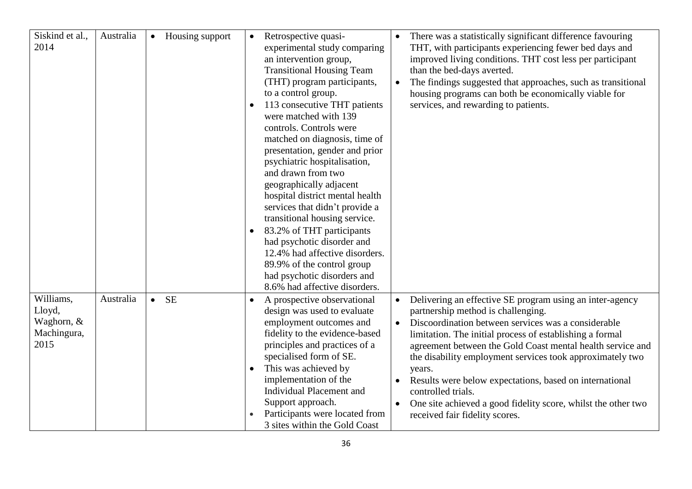| Siskind et al.,<br>2014                                  | Australia | Housing support<br>$\bullet$ | $\bullet$<br>$\bullet$<br>$\bullet$ | Retrospective quasi-<br>experimental study comparing<br>an intervention group,<br><b>Transitional Housing Team</b><br>(THT) program participants,<br>to a control group.<br>113 consecutive THT patients<br>were matched with 139<br>controls. Controls were<br>matched on diagnosis, time of<br>presentation, gender and prior<br>psychiatric hospitalisation,<br>and drawn from two<br>geographically adjacent<br>hospital district mental health<br>services that didn't provide a<br>transitional housing service.<br>83.2% of THT participants<br>had psychotic disorder and<br>12.4% had affective disorders.<br>89.9% of the control group<br>had psychotic disorders and |           | There was a statistically significant difference favouring<br>THT, with participants experiencing fewer bed days and<br>improved living conditions. THT cost less per participant<br>than the bed-days averted.<br>The findings suggested that approaches, such as transitional<br>housing programs can both be economically viable for<br>services, and rewarding to patients.                                                                                                                                                            |
|----------------------------------------------------------|-----------|------------------------------|-------------------------------------|----------------------------------------------------------------------------------------------------------------------------------------------------------------------------------------------------------------------------------------------------------------------------------------------------------------------------------------------------------------------------------------------------------------------------------------------------------------------------------------------------------------------------------------------------------------------------------------------------------------------------------------------------------------------------------|-----------|--------------------------------------------------------------------------------------------------------------------------------------------------------------------------------------------------------------------------------------------------------------------------------------------------------------------------------------------------------------------------------------------------------------------------------------------------------------------------------------------------------------------------------------------|
|                                                          |           |                              |                                     | 8.6% had affective disorders.                                                                                                                                                                                                                                                                                                                                                                                                                                                                                                                                                                                                                                                    |           |                                                                                                                                                                                                                                                                                                                                                                                                                                                                                                                                            |
| Williams,<br>Lloyd,<br>Waghorn, &<br>Machingura,<br>2015 | Australia | <b>SE</b><br>$\bullet$       | $\bullet$<br>$\bullet$              | A prospective observational<br>design was used to evaluate<br>employment outcomes and<br>fidelity to the evidence-based<br>principles and practices of a<br>specialised form of SE.<br>This was achieved by<br>implementation of the<br><b>Individual Placement and</b><br>Support approach.<br>Participants were located from<br>3 sites within the Gold Coast                                                                                                                                                                                                                                                                                                                  | $\bullet$ | Delivering an effective SE program using an inter-agency<br>partnership method is challenging.<br>Discoordination between services was a considerable<br>limitation. The initial process of establishing a formal<br>agreement between the Gold Coast mental health service and<br>the disability employment services took approximately two<br>years.<br>Results were below expectations, based on international<br>controlled trials.<br>One site achieved a good fidelity score, whilst the other two<br>received fair fidelity scores. |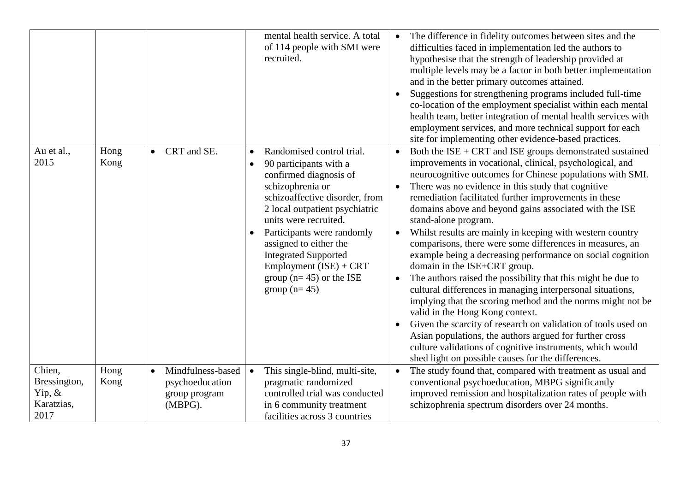|                                                           |              |                                                                               | mental health service. A total<br>of 114 people with SMI were<br>recruited.                                                                                                                                                                                                                                                                                                                | The difference in fidelity outcomes between sites and the<br>difficulties faced in implementation led the authors to<br>hypothesise that the strength of leadership provided at<br>multiple levels may be a factor in both better implementation<br>and in the better primary outcomes attained.<br>Suggestions for strengthening programs included full-time<br>$\bullet$<br>co-location of the employment specialist within each mental<br>health team, better integration of mental health services with<br>employment services, and more technical support for each<br>site for implementing other evidence-based practices.                                                                                                                                                                                                                                                                                                                                                                                                                                                                                       |
|-----------------------------------------------------------|--------------|-------------------------------------------------------------------------------|--------------------------------------------------------------------------------------------------------------------------------------------------------------------------------------------------------------------------------------------------------------------------------------------------------------------------------------------------------------------------------------------|------------------------------------------------------------------------------------------------------------------------------------------------------------------------------------------------------------------------------------------------------------------------------------------------------------------------------------------------------------------------------------------------------------------------------------------------------------------------------------------------------------------------------------------------------------------------------------------------------------------------------------------------------------------------------------------------------------------------------------------------------------------------------------------------------------------------------------------------------------------------------------------------------------------------------------------------------------------------------------------------------------------------------------------------------------------------------------------------------------------------|
| Au et al.,<br>2015                                        | Hong<br>Kong | CRT and SE.<br>$\bullet$                                                      | Randomised control trial.<br>$\bullet$<br>90 participants with a<br>$\bullet$<br>confirmed diagnosis of<br>schizophrenia or<br>schizoaffective disorder, from<br>2 local outpatient psychiatric<br>units were recruited.<br>Participants were randomly<br>assigned to either the<br><b>Integrated Supported</b><br>Employment (ISE) + CRT<br>group ( $n=45$ ) or the ISE<br>group $(n=45)$ | Both the $ISE + CRT$ and $ISE$ groups demonstrated sustained<br>$\bullet$<br>improvements in vocational, clinical, psychological, and<br>neurocognitive outcomes for Chinese populations with SMI.<br>There was no evidence in this study that cognitive<br>remediation facilitated further improvements in these<br>domains above and beyond gains associated with the ISE<br>stand-alone program.<br>Whilst results are mainly in keeping with western country<br>comparisons, there were some differences in measures, an<br>example being a decreasing performance on social cognition<br>domain in the ISE+CRT group.<br>The authors raised the possibility that this might be due to<br>$\bullet$<br>cultural differences in managing interpersonal situations,<br>implying that the scoring method and the norms might not be<br>valid in the Hong Kong context.<br>Given the scarcity of research on validation of tools used on<br>Asian populations, the authors argued for further cross<br>culture validations of cognitive instruments, which would<br>shed light on possible causes for the differences. |
| Chien,<br>Bressington,<br>Yip, $\&$<br>Karatzias,<br>2017 | Hong<br>Kong | Mindfulness-based<br>$\bullet$<br>psychoeducation<br>group program<br>(MBPG). | This single-blind, multi-site,<br>$\bullet$<br>pragmatic randomized<br>controlled trial was conducted<br>in 6 community treatment<br>facilities across 3 countries                                                                                                                                                                                                                         | The study found that, compared with treatment as usual and<br>conventional psychoeducation, MBPG significantly<br>improved remission and hospitalization rates of people with<br>schizophrenia spectrum disorders over 24 months.                                                                                                                                                                                                                                                                                                                                                                                                                                                                                                                                                                                                                                                                                                                                                                                                                                                                                      |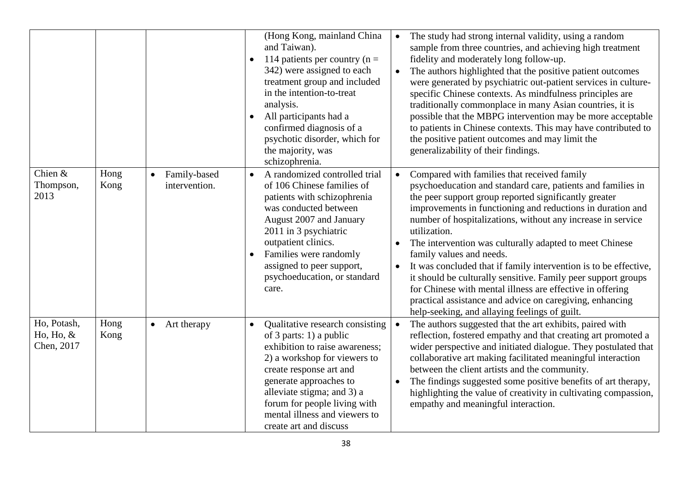|                                          |              |                               | (Hong Kong, mainland China<br>and Taiwan).<br>114 patients per country ( $n =$<br>$\bullet$<br>342) were assigned to each<br>treatment group and included<br>in the intention-to-treat<br>analysis.<br>All participants had a<br>$\bullet$<br>confirmed diagnosis of a<br>psychotic disorder, which for<br>the majority, was<br>schizophrenia. | The study had strong internal validity, using a random<br>$\bullet$<br>sample from three countries, and achieving high treatment<br>fidelity and moderately long follow-up.<br>The authors highlighted that the positive patient outcomes<br>were generated by psychiatric out-patient services in culture-<br>specific Chinese contexts. As mindfulness principles are<br>traditionally commonplace in many Asian countries, it is<br>possible that the MBPG intervention may be more acceptable<br>to patients in Chinese contexts. This may have contributed to<br>the positive patient outcomes and may limit the<br>generalizability of their findings.                                                                        |
|------------------------------------------|--------------|-------------------------------|------------------------------------------------------------------------------------------------------------------------------------------------------------------------------------------------------------------------------------------------------------------------------------------------------------------------------------------------|-------------------------------------------------------------------------------------------------------------------------------------------------------------------------------------------------------------------------------------------------------------------------------------------------------------------------------------------------------------------------------------------------------------------------------------------------------------------------------------------------------------------------------------------------------------------------------------------------------------------------------------------------------------------------------------------------------------------------------------|
| Chien &<br>Thompson,<br>2013             | Hong<br>Kong | Family-based<br>intervention. | A randomized controlled trial<br>$\bullet$<br>of 106 Chinese families of<br>patients with schizophrenia<br>was conducted between<br>August 2007 and January<br>2011 in 3 psychiatric<br>outpatient clinics.<br>Families were randomly<br>assigned to peer support,<br>psychoeducation, or standard<br>care.                                    | Compared with families that received family<br>psychoeducation and standard care, patients and families in<br>the peer support group reported significantly greater<br>improvements in functioning and reductions in duration and<br>number of hospitalizations, without any increase in service<br>utilization.<br>The intervention was culturally adapted to meet Chinese<br>family values and needs.<br>It was concluded that if family intervention is to be effective,<br>$\bullet$<br>it should be culturally sensitive. Family peer support groups<br>for Chinese with mental illness are effective in offering<br>practical assistance and advice on caregiving, enhancing<br>help-seeking, and allaying feelings of guilt. |
| Ho, Potash,<br>Ho, Ho, $&$<br>Chen, 2017 | Hong<br>Kong | Art therapy<br>$\bullet$      | Qualitative research consisting<br>$\bullet$<br>of 3 parts: 1) a public<br>exhibition to raise awareness;<br>2) a workshop for viewers to<br>create response art and<br>generate approaches to<br>alleviate stigma; and 3) a<br>forum for people living with<br>mental illness and viewers to<br>create art and discuss                        | The authors suggested that the art exhibits, paired with<br>reflection, fostered empathy and that creating art promoted a<br>wider perspective and initiated dialogue. They postulated that<br>collaborative art making facilitated meaningful interaction<br>between the client artists and the community.<br>The findings suggested some positive benefits of art therapy,<br>highlighting the value of creativity in cultivating compassion,<br>empathy and meaningful interaction.                                                                                                                                                                                                                                              |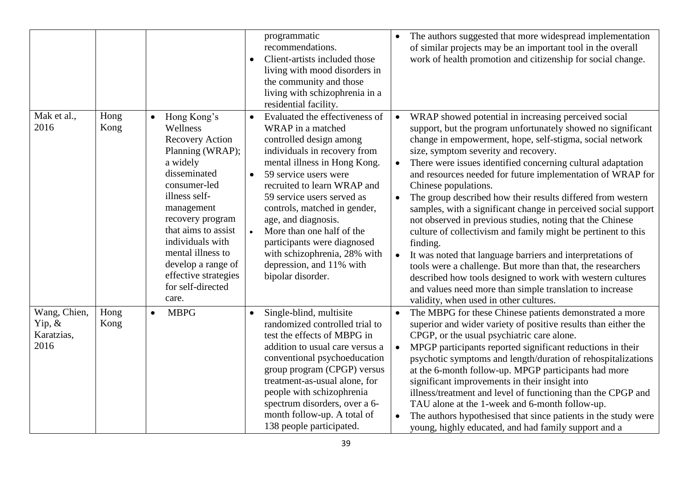|                                                 |              |                                                                                                                                                                                                                                                                                                                               | programmatic<br>recommendations.<br>Client-artists included those<br>$\bullet$<br>living with mood disorders in<br>the community and those<br>living with schizophrenia in a<br>residential facility.                                                                                                                                                                                                                                                                           | The authors suggested that more widespread implementation<br>$\bullet$<br>of similar projects may be an important tool in the overall<br>work of health promotion and citizenship for social change.                                                                                                                                                                                                                                                                                                                                                                                                                                                                                                                                                                                                                                                                                                                                                      |
|-------------------------------------------------|--------------|-------------------------------------------------------------------------------------------------------------------------------------------------------------------------------------------------------------------------------------------------------------------------------------------------------------------------------|---------------------------------------------------------------------------------------------------------------------------------------------------------------------------------------------------------------------------------------------------------------------------------------------------------------------------------------------------------------------------------------------------------------------------------------------------------------------------------|-----------------------------------------------------------------------------------------------------------------------------------------------------------------------------------------------------------------------------------------------------------------------------------------------------------------------------------------------------------------------------------------------------------------------------------------------------------------------------------------------------------------------------------------------------------------------------------------------------------------------------------------------------------------------------------------------------------------------------------------------------------------------------------------------------------------------------------------------------------------------------------------------------------------------------------------------------------|
| Mak et al.,<br>2016                             | Hong<br>Kong | Hong Kong's<br>$\bullet$<br>Wellness<br><b>Recovery Action</b><br>Planning (WRAP);<br>a widely<br>disseminated<br>consumer-led<br>illness self-<br>management<br>recovery program<br>that aims to assist<br>individuals with<br>mental illness to<br>develop a range of<br>effective strategies<br>for self-directed<br>care. | Evaluated the effectiveness of<br>$\bullet$<br>WRAP in a matched<br>controlled design among<br>individuals in recovery from<br>mental illness in Hong Kong.<br>59 service users were<br>$\bullet$<br>recruited to learn WRAP and<br>59 service users served as<br>controls, matched in gender,<br>age, and diagnosis.<br>More than one half of the<br>$\bullet$<br>participants were diagnosed<br>with schizophrenia, 28% with<br>depression, and 11% with<br>bipolar disorder. | WRAP showed potential in increasing perceived social<br>support, but the program unfortunately showed no significant<br>change in empowerment, hope, self-stigma, social network<br>size, symptom severity and recovery.<br>There were issues identified concerning cultural adaptation<br>and resources needed for future implementation of WRAP for<br>Chinese populations.<br>The group described how their results differed from western<br>samples, with a significant change in perceived social support<br>not observed in previous studies, noting that the Chinese<br>culture of collectivism and family might be pertinent to this<br>finding.<br>It was noted that language barriers and interpretations of<br>tools were a challenge. But more than that, the researchers<br>described how tools designed to work with western cultures<br>and values need more than simple translation to increase<br>validity, when used in other cultures. |
| Wang, Chien,<br>$Yip, \&$<br>Karatzias,<br>2016 | Hong<br>Kong | <b>MBPG</b><br>$\bullet$                                                                                                                                                                                                                                                                                                      | Single-blind, multisite<br>$\bullet$<br>randomized controlled trial to<br>test the effects of MBPG in<br>addition to usual care versus a<br>conventional psychoeducation<br>group program (CPGP) versus<br>treatment-as-usual alone, for<br>people with schizophrenia<br>spectrum disorders, over a 6-<br>month follow-up. A total of<br>138 people participated.                                                                                                               | The MBPG for these Chinese patients demonstrated a more<br>$\bullet$<br>superior and wider variety of positive results than either the<br>CPGP, or the usual psychiatric care alone.<br>MPGP participants reported significant reductions in their<br>psychotic symptoms and length/duration of rehospitalizations<br>at the 6-month follow-up. MPGP participants had more<br>significant improvements in their insight into<br>illness/treatment and level of functioning than the CPGP and<br>TAU alone at the 1-week and 6-month follow-up.<br>The authors hypothesised that since patients in the study were<br>young, highly educated, and had family support and a                                                                                                                                                                                                                                                                                  |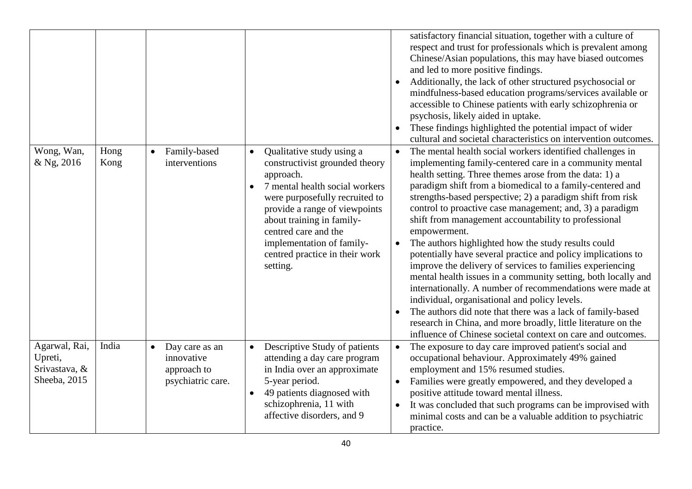|                                                           |              |                                                                               |                                                                                                                                                                                                                                                                                                                                         | satisfactory financial situation, together with a culture of<br>respect and trust for professionals which is prevalent among<br>Chinese/Asian populations, this may have biased outcomes<br>and led to more positive findings.<br>Additionally, the lack of other structured psychosocial or<br>mindfulness-based education programs/services available or<br>accessible to Chinese patients with early schizophrenia or<br>psychosis, likely aided in uptake.<br>These findings highlighted the potential impact of wider<br>$\bullet$<br>cultural and societal characteristics on intervention outcomes.                                                                                                                                                                                                                                                                                                                                                                                                     |
|-----------------------------------------------------------|--------------|-------------------------------------------------------------------------------|-----------------------------------------------------------------------------------------------------------------------------------------------------------------------------------------------------------------------------------------------------------------------------------------------------------------------------------------|----------------------------------------------------------------------------------------------------------------------------------------------------------------------------------------------------------------------------------------------------------------------------------------------------------------------------------------------------------------------------------------------------------------------------------------------------------------------------------------------------------------------------------------------------------------------------------------------------------------------------------------------------------------------------------------------------------------------------------------------------------------------------------------------------------------------------------------------------------------------------------------------------------------------------------------------------------------------------------------------------------------|
| Wong, Wan,<br>& Ng, 2016                                  | Hong<br>Kong | Family-based<br>$\bullet$<br>interventions                                    | Qualitative study using a<br>$\bullet$<br>constructivist grounded theory<br>approach.<br>7 mental health social workers<br>$\bullet$<br>were purposefully recruited to<br>provide a range of viewpoints<br>about training in family-<br>centred care and the<br>implementation of family-<br>centred practice in their work<br>setting. | The mental health social workers identified challenges in<br>implementing family-centered care in a community mental<br>health setting. Three themes arose from the data: 1) a<br>paradigm shift from a biomedical to a family-centered and<br>strengths-based perspective; 2) a paradigm shift from risk<br>control to proactive case management; and, 3) a paradigm<br>shift from management accountability to professional<br>empowerment.<br>The authors highlighted how the study results could<br>potentially have several practice and policy implications to<br>improve the delivery of services to families experiencing<br>mental health issues in a community setting, both locally and<br>internationally. A number of recommendations were made at<br>individual, organisational and policy levels.<br>The authors did note that there was a lack of family-based<br>research in China, and more broadly, little literature on the<br>influence of Chinese societal context on care and outcomes. |
| Agarwal, Rai,<br>Upreti,<br>Srivastava, &<br>Sheeba, 2015 | India        | Day care as an<br>$\bullet$<br>innovative<br>approach to<br>psychiatric care. | Descriptive Study of patients<br>$\bullet$<br>attending a day care program<br>in India over an approximate<br>5-year period.<br>49 patients diagnosed with<br>$\bullet$<br>schizophrenia, 11 with<br>affective disorders, and 9                                                                                                         | The exposure to day care improved patient's social and<br>$\bullet$<br>occupational behaviour. Approximately 49% gained<br>employment and 15% resumed studies.<br>Families were greatly empowered, and they developed a<br>positive attitude toward mental illness.<br>It was concluded that such programs can be improvised with<br>$\bullet$<br>minimal costs and can be a valuable addition to psychiatric<br>practice.                                                                                                                                                                                                                                                                                                                                                                                                                                                                                                                                                                                     |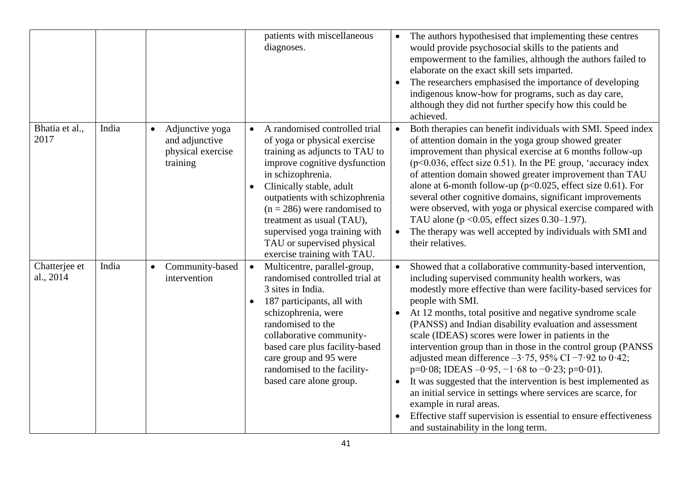|                            |       |                                                                                 | patients with miscellaneous<br>diagnoses.                                                                                                                                                                                                                                                                                                                                                                  | The authors hypothesised that implementing these centres<br>would provide psychosocial skills to the patients and<br>empowerment to the families, although the authors failed to<br>elaborate on the exact skill sets imparted.<br>The researchers emphasised the importance of developing<br>indigenous know-how for programs, such as day care,<br>although they did not further specify how this could be<br>achieved.                                                                                                                                                                                                                                                                                                                                                                                                                                |
|----------------------------|-------|---------------------------------------------------------------------------------|------------------------------------------------------------------------------------------------------------------------------------------------------------------------------------------------------------------------------------------------------------------------------------------------------------------------------------------------------------------------------------------------------------|----------------------------------------------------------------------------------------------------------------------------------------------------------------------------------------------------------------------------------------------------------------------------------------------------------------------------------------------------------------------------------------------------------------------------------------------------------------------------------------------------------------------------------------------------------------------------------------------------------------------------------------------------------------------------------------------------------------------------------------------------------------------------------------------------------------------------------------------------------|
| Bhatia et al.,<br>2017     | India | Adjunctive yoga<br>$\bullet$<br>and adjunctive<br>physical exercise<br>training | A randomised controlled trial<br>$\bullet$<br>of yoga or physical exercise<br>training as adjuncts to TAU to<br>improve cognitive dysfunction<br>in schizophrenia.<br>Clinically stable, adult<br>$\bullet$<br>outpatients with schizophrenia<br>$(n = 286)$ were randomised to<br>treatment as usual (TAU),<br>supervised yoga training with<br>TAU or supervised physical<br>exercise training with TAU. | Both therapies can benefit individuals with SMI. Speed index<br>of attention domain in the yoga group showed greater<br>improvement than physical exercise at 6 months follow-up<br>$(p<0.036,$ effect size 0.51). In the PE group, 'accuracy index<br>of attention domain showed greater improvement than TAU<br>alone at 6-month follow-up ( $p<0.025$ , effect size 0.61). For<br>several other cognitive domains, significant improvements<br>were observed, with yoga or physical exercise compared with<br>TAU alone ( $p < 0.05$ , effect sizes 0.30–1.97).<br>The therapy was well accepted by individuals with SMI and<br>their relatives.                                                                                                                                                                                                      |
| Chatterjee et<br>al., 2014 | India | Community-based<br>$\bullet$<br>intervention                                    | Multicentre, parallel-group,<br>$\bullet$<br>randomised controlled trial at<br>3 sites in India.<br>187 participants, all with<br>$\bullet$<br>schizophrenia, were<br>randomised to the<br>collaborative community-<br>based care plus facility-based<br>care group and 95 were<br>randomised to the facility-<br>based care alone group.                                                                  | Showed that a collaborative community-based intervention,<br>including supervised community health workers, was<br>modestly more effective than were facility-based services for<br>people with SMI.<br>At 12 months, total positive and negative syndrome scale<br>(PANSS) and Indian disability evaluation and assessment<br>scale (IDEAS) scores were lower in patients in the<br>intervention group than in those in the control group (PANSS)<br>adjusted mean difference $-3.75$ , 95% CI $-7.92$ to 0.42;<br>$p=0.08$ ; IDEAS $-0.95$ , $-1.68$ to $-0.23$ ; $p=0.01$ ).<br>It was suggested that the intervention is best implemented as<br>an initial service in settings where services are scarce, for<br>example in rural areas.<br>Effective staff supervision is essential to ensure effectiveness<br>and sustainability in the long term. |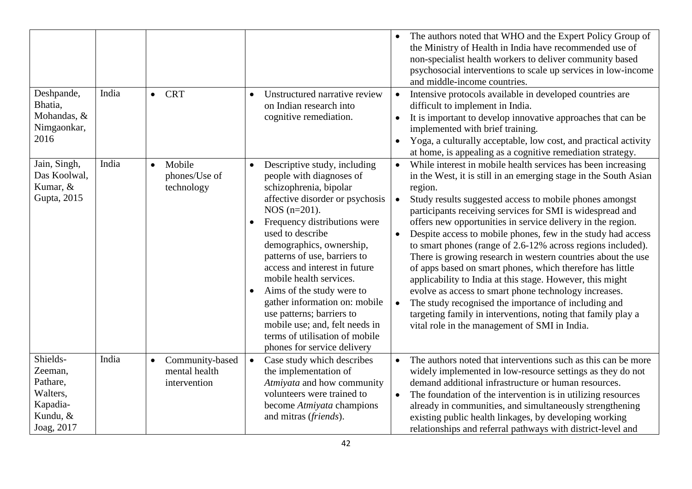| Deshpande,<br>Bhatia,                                                             | India | <b>CRT</b><br>$\bullet$                          | Unstructured narrative review<br>$\bullet$<br>on Indian research into                                                                                                                                                                                                                                                                                                                                                                                                                                                                                     | The authors noted that WHO and the Expert Policy Group of<br>the Ministry of Health in India have recommended use of<br>non-specialist health workers to deliver community based<br>psychosocial interventions to scale up services in low-income<br>and middle-income countries.<br>Intensive protocols available in developed countries are<br>difficult to implement in India.                                                                                                                                                                                                                                                                                                                                                                                                                                                                                                                                                                 |
|-----------------------------------------------------------------------------------|-------|--------------------------------------------------|-----------------------------------------------------------------------------------------------------------------------------------------------------------------------------------------------------------------------------------------------------------------------------------------------------------------------------------------------------------------------------------------------------------------------------------------------------------------------------------------------------------------------------------------------------------|---------------------------------------------------------------------------------------------------------------------------------------------------------------------------------------------------------------------------------------------------------------------------------------------------------------------------------------------------------------------------------------------------------------------------------------------------------------------------------------------------------------------------------------------------------------------------------------------------------------------------------------------------------------------------------------------------------------------------------------------------------------------------------------------------------------------------------------------------------------------------------------------------------------------------------------------------|
| Mohandas, &<br>Nimgaonkar,<br>2016                                                |       |                                                  | cognitive remediation.                                                                                                                                                                                                                                                                                                                                                                                                                                                                                                                                    | It is important to develop innovative approaches that can be<br>$\bullet$<br>implemented with brief training.<br>Yoga, a culturally acceptable, low cost, and practical activity<br>$\bullet$<br>at home, is appealing as a cognitive remediation strategy.                                                                                                                                                                                                                                                                                                                                                                                                                                                                                                                                                                                                                                                                                       |
| Jain, Singh,<br>Das Koolwal,<br>Kumar, &<br>Gupta, 2015                           | India | Mobile<br>phones/Use of<br>technology            | Descriptive study, including<br>$\bullet$<br>people with diagnoses of<br>schizophrenia, bipolar<br>affective disorder or psychosis<br>$NOS (n=201)$ .<br>Frequency distributions were<br>$\bullet$<br>used to describe<br>demographics, ownership,<br>patterns of use, barriers to<br>access and interest in future<br>mobile health services.<br>Aims of the study were to<br>$\bullet$<br>gather information on: mobile<br>use patterns; barriers to<br>mobile use; and, felt needs in<br>terms of utilisation of mobile<br>phones for service delivery | While interest in mobile health services has been increasing<br>$\bullet$<br>in the West, it is still in an emerging stage in the South Asian<br>region.<br>Study results suggested access to mobile phones amongst<br>$\bullet$<br>participants receiving services for SMI is widespread and<br>offers new opportunities in service delivery in the region.<br>Despite access to mobile phones, few in the study had access<br>$\bullet$<br>to smart phones (range of 2.6-12% across regions included).<br>There is growing research in western countries about the use<br>of apps based on smart phones, which therefore has little<br>applicability to India at this stage. However, this might<br>evolve as access to smart phone technology increases.<br>The study recognised the importance of including and<br>$\bullet$<br>targeting family in interventions, noting that family play a<br>vital role in the management of SMI in India. |
| Shields-<br>Zeeman,<br>Pathare,<br>Walters,<br>Kapadia-<br>Kundu, &<br>Joag, 2017 | India | Community-based<br>mental health<br>intervention | Case study which describes<br>$\bullet$<br>the implementation of<br>Atmiyata and how community<br>volunteers were trained to<br>become Atmiyata champions<br>and mitras (friends).                                                                                                                                                                                                                                                                                                                                                                        | The authors noted that interventions such as this can be more<br>widely implemented in low-resource settings as they do not<br>demand additional infrastructure or human resources.<br>The foundation of the intervention is in utilizing resources<br>$\bullet$<br>already in communities, and simultaneously strengthening<br>existing public health linkages, by developing working<br>relationships and referral pathways with district-level and                                                                                                                                                                                                                                                                                                                                                                                                                                                                                             |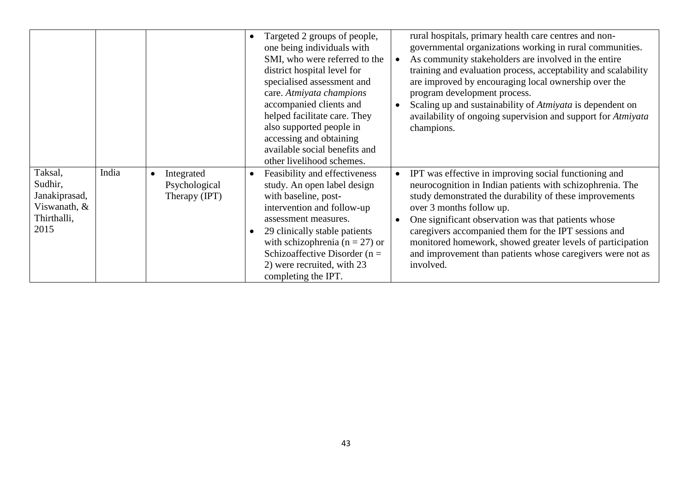|                                                                            |       |                                                           | Targeted 2 groups of people,<br>$\bullet$<br>one being individuals with<br>SMI, who were referred to the<br>district hospital level for<br>specialised assessment and<br>care. Atmiyata champions<br>accompanied clients and<br>helped facilitate care. They<br>also supported people in<br>accessing and obtaining<br>available social benefits and<br>other livelihood schemes. | rural hospitals, primary health care centres and non-<br>governmental organizations working in rural communities.<br>As community stakeholders are involved in the entire<br>training and evaluation process, acceptability and scalability<br>are improved by encouraging local ownership over the<br>program development process.<br>Scaling up and sustainability of <i>Atmiyata</i> is dependent on<br>availability of ongoing supervision and support for Atmiyata<br>champions. |
|----------------------------------------------------------------------------|-------|-----------------------------------------------------------|-----------------------------------------------------------------------------------------------------------------------------------------------------------------------------------------------------------------------------------------------------------------------------------------------------------------------------------------------------------------------------------|---------------------------------------------------------------------------------------------------------------------------------------------------------------------------------------------------------------------------------------------------------------------------------------------------------------------------------------------------------------------------------------------------------------------------------------------------------------------------------------|
| Taksal,<br>Sudhir,<br>Janakiprasad,<br>Viswanath, &<br>Thirthalli,<br>2015 | India | Integrated<br>$\bullet$<br>Psychological<br>Therapy (IPT) | Feasibility and effectiveness<br>$\bullet$<br>study. An open label design<br>with baseline, post-<br>intervention and follow-up<br>assessment measures.<br>29 clinically stable patients<br>$\bullet$<br>with schizophrenia ( $n = 27$ ) or<br>Schizoaffective Disorder ( $n =$<br>2) were recruited, with 23<br>completing the IPT.                                              | IPT was effective in improving social functioning and<br>neurocognition in Indian patients with schizophrenia. The<br>study demonstrated the durability of these improvements<br>over 3 months follow up.<br>One significant observation was that patients whose<br>caregivers accompanied them for the IPT sessions and<br>monitored homework, showed greater levels of participation<br>and improvement than patients whose caregivers were not as<br>involved.                     |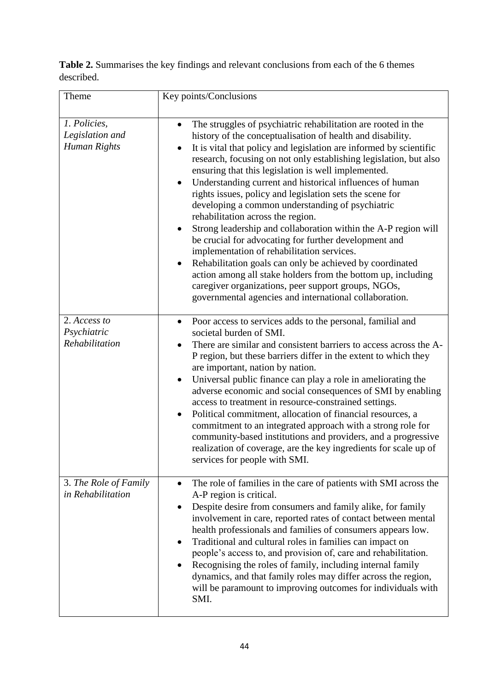**Table 2.** Summarises the key findings and relevant conclusions from each of the 6 themes described.

| Theme                                           | Key points/Conclusions                                                                                                                                                                                                                                                                                                                                                                                                                                                                                                                                                                                                                                                                                                                                                                                                                                                                                                                                                                              |
|-------------------------------------------------|-----------------------------------------------------------------------------------------------------------------------------------------------------------------------------------------------------------------------------------------------------------------------------------------------------------------------------------------------------------------------------------------------------------------------------------------------------------------------------------------------------------------------------------------------------------------------------------------------------------------------------------------------------------------------------------------------------------------------------------------------------------------------------------------------------------------------------------------------------------------------------------------------------------------------------------------------------------------------------------------------------|
| 1. Policies,<br>Legislation and<br>Human Rights | The struggles of psychiatric rehabilitation are rooted in the<br>$\bullet$<br>history of the conceptualisation of health and disability.<br>It is vital that policy and legislation are informed by scientific<br>research, focusing on not only establishing legislation, but also<br>ensuring that this legislation is well implemented.<br>Understanding current and historical influences of human<br>rights issues, policy and legislation sets the scene for<br>developing a common understanding of psychiatric<br>rehabilitation across the region.<br>Strong leadership and collaboration within the A-P region will<br>٠<br>be crucial for advocating for further development and<br>implementation of rehabilitation services.<br>Rehabilitation goals can only be achieved by coordinated<br>$\bullet$<br>action among all stake holders from the bottom up, including<br>caregiver organizations, peer support groups, NGOs,<br>governmental agencies and international collaboration. |
| 2. Access to<br>Psychiatric<br>Rehabilitation   | Poor access to services adds to the personal, familial and<br>$\bullet$<br>societal burden of SMI.<br>There are similar and consistent barriers to access across the A-<br>P region, but these barriers differ in the extent to which they<br>are important, nation by nation.<br>Universal public finance can play a role in ameliorating the<br>adverse economic and social consequences of SMI by enabling<br>access to treatment in resource-constrained settings.<br>Political commitment, allocation of financial resources, a<br>commitment to an integrated approach with a strong role for<br>community-based institutions and providers, and a progressive<br>realization of coverage, are the key ingredients for scale up of<br>services for people with SMI.                                                                                                                                                                                                                           |
| 3. The Role of Family<br>in Rehabilitation      | The role of families in the care of patients with SMI across the<br>A-P region is critical.<br>Despite desire from consumers and family alike, for family<br>involvement in care, reported rates of contact between mental<br>health professionals and families of consumers appears low.<br>Traditional and cultural roles in families can impact on<br>$\bullet$<br>people's access to, and provision of, care and rehabilitation.<br>Recognising the roles of family, including internal family<br>dynamics, and that family roles may differ across the region,<br>will be paramount to improving outcomes for individuals with<br>SMI.                                                                                                                                                                                                                                                                                                                                                         |